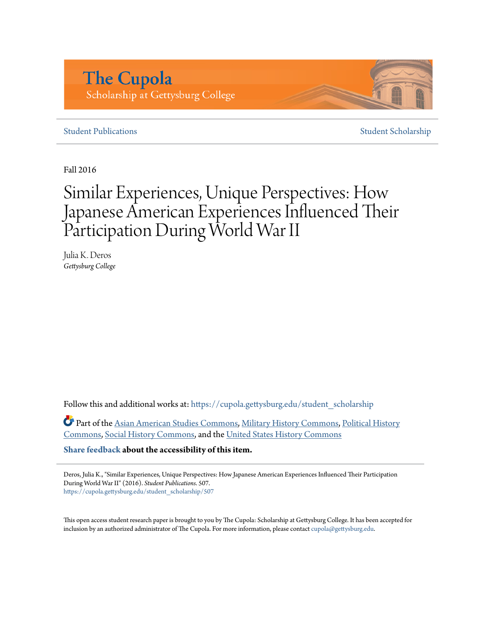# **The Cupola** Scholarship at Gettysburg College

# **[Student Publications](https://cupola.gettysburg.edu/student_scholarship?utm_source=cupola.gettysburg.edu%2Fstudent_scholarship%2F507&utm_medium=PDF&utm_campaign=PDFCoverPages)** [Student Scholarship](https://cupola.gettysburg.edu/student?utm_source=cupola.gettysburg.edu%2Fstudent_scholarship%2F507&utm_medium=PDF&utm_campaign=PDFCoverPages)

Fall 2016

# Similar Experiences, Unique Perspectives: How Japanese American Experiences Influenced Their Participation During World War II

Julia K. Deros *Gettysburg College*

Follow this and additional works at: [https://cupola.gettysburg.edu/student\\_scholarship](https://cupola.gettysburg.edu/student_scholarship?utm_source=cupola.gettysburg.edu%2Fstudent_scholarship%2F507&utm_medium=PDF&utm_campaign=PDFCoverPages)

Part of the [Asian American Studies Commons,](http://network.bepress.com/hgg/discipline/568?utm_source=cupola.gettysburg.edu%2Fstudent_scholarship%2F507&utm_medium=PDF&utm_campaign=PDFCoverPages) [Military History Commons](http://network.bepress.com/hgg/discipline/504?utm_source=cupola.gettysburg.edu%2Fstudent_scholarship%2F507&utm_medium=PDF&utm_campaign=PDFCoverPages), [Political History](http://network.bepress.com/hgg/discipline/505?utm_source=cupola.gettysburg.edu%2Fstudent_scholarship%2F507&utm_medium=PDF&utm_campaign=PDFCoverPages) [Commons,](http://network.bepress.com/hgg/discipline/505?utm_source=cupola.gettysburg.edu%2Fstudent_scholarship%2F507&utm_medium=PDF&utm_campaign=PDFCoverPages) [Social History Commons,](http://network.bepress.com/hgg/discipline/506?utm_source=cupola.gettysburg.edu%2Fstudent_scholarship%2F507&utm_medium=PDF&utm_campaign=PDFCoverPages) and the [United States History Commons](http://network.bepress.com/hgg/discipline/495?utm_source=cupola.gettysburg.edu%2Fstudent_scholarship%2F507&utm_medium=PDF&utm_campaign=PDFCoverPages)

**[Share feedback](https://docs.google.com/a/bepress.com/forms/d/1h9eEcpBPj5POs5oO6Y5A0blXRmZqykoonyYiZUNyEq8/viewform) about the accessibility of this item.**

Deros, Julia K., "Similar Experiences, Unique Perspectives: How Japanese American Experiences Influenced Their Participation During World War II" (2016). *Student Publications*. 507. [https://cupola.gettysburg.edu/student\\_scholarship/507](https://cupola.gettysburg.edu/student_scholarship/507?utm_source=cupola.gettysburg.edu%2Fstudent_scholarship%2F507&utm_medium=PDF&utm_campaign=PDFCoverPages)

This open access student research paper is brought to you by The Cupola: Scholarship at Gettysburg College. It has been accepted for inclusion by an authorized administrator of The Cupola. For more information, please contact [cupola@gettysburg.edu.](mailto:cupola@gettysburg.edu)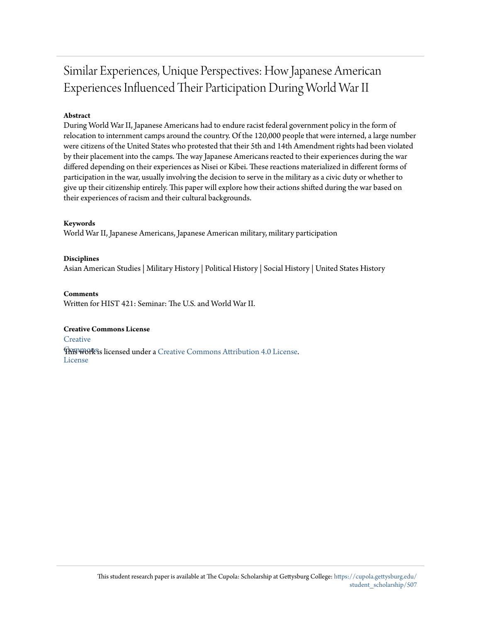# Similar Experiences, Unique Perspectives: How Japanese American Experiences Influenced Their Participation During World War II

## **Abstract**

During World War II, Japanese Americans had to endure racist federal government policy in the form of relocation to internment camps around the country. Of the 120,000 people that were interned, a large number were citizens of the United States who protested that their 5th and 14th Amendment rights had been violated by their placement into the camps. The way Japanese Americans reacted to their experiences during the war differed depending on their experiences as Nisei or Kibei. These reactions materialized in different forms of participation in the war, usually involving the decision to serve in the military as a civic duty or whether to give up their citizenship entirely. This paper will explore how their actions shifted during the war based on their experiences of racism and their cultural backgrounds.

#### **Keywords**

World War II, Japanese Americans, Japanese American military, military participation

**Disciplines** Asian American Studies | Military History | Political History | Social History | United States History

**Comments** Written for HIST 421: Seminar: The U.S. and World War II.

#### **Creative Commons License**

**[Creative](https://creativecommons.org/licenses/by/4.0/)** 

**This work is licensed under a** [Creative Commons Attribution 4.0 License.](https://creativecommons.org/licenses/by/4.0/) License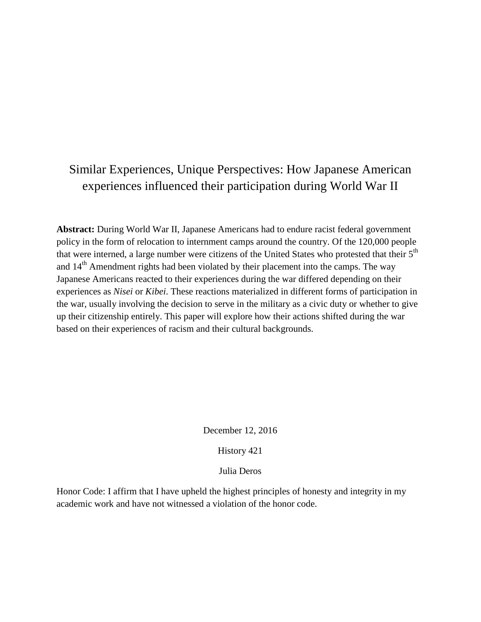# Similar Experiences, Unique Perspectives: How Japanese American experiences influenced their participation during World War II

**Abstract:** During World War II, Japanese Americans had to endure racist federal government policy in the form of relocation to internment camps around the country. Of the 120,000 people that were interned, a large number were citizens of the United States who protested that their 5<sup>th</sup> and 14<sup>th</sup> Amendment rights had been violated by their placement into the camps. The way Japanese Americans reacted to their experiences during the war differed depending on their experiences as *Nisei* or *Kibei*. These reactions materialized in different forms of participation in the war, usually involving the decision to serve in the military as a civic duty or whether to give up their citizenship entirely. This paper will explore how their actions shifted during the war based on their experiences of racism and their cultural backgrounds.

December 12, 2016

History 421

Julia Deros

Honor Code: I affirm that I have upheld the highest principles of honesty and integrity in my academic work and have not witnessed a violation of the honor code.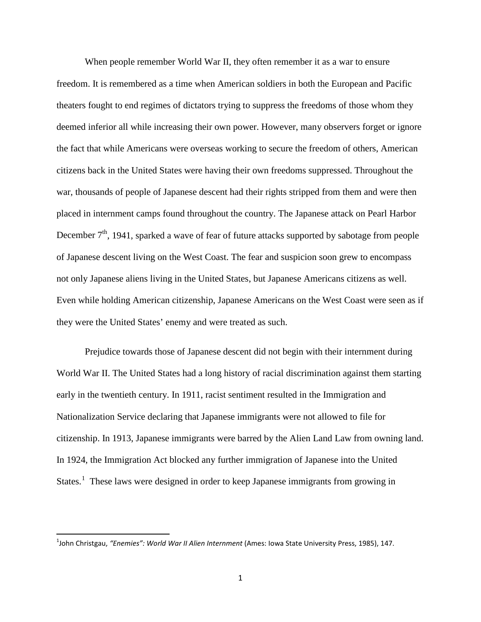When people remember World War II, they often remember it as a war to ensure freedom. It is remembered as a time when American soldiers in both the European and Pacific theaters fought to end regimes of dictators trying to suppress the freedoms of those whom they deemed inferior all while increasing their own power. However, many observers forget or ignore the fact that while Americans were overseas working to secure the freedom of others, American citizens back in the United States were having their own freedoms suppressed. Throughout the war, thousands of people of Japanese descent had their rights stripped from them and were then placed in internment camps found throughout the country. The Japanese attack on Pearl Harbor December  $7<sup>th</sup>$ , 1941, sparked a wave of fear of future attacks supported by sabotage from people of Japanese descent living on the West Coast. The fear and suspicion soon grew to encompass not only Japanese aliens living in the United States, but Japanese Americans citizens as well. Even while holding American citizenship, Japanese Americans on the West Coast were seen as if they were the United States' enemy and were treated as such.

Prejudice towards those of Japanese descent did not begin with their internment during World War II. The United States had a long history of racial discrimination against them starting early in the twentieth century. In 1911, racist sentiment resulted in the Immigration and Nationalization Service declaring that Japanese immigrants were not allowed to file for citizenship. In 1913, Japanese immigrants were barred by the Alien Land Law from owning land. In 1924, the Immigration Act blocked any further immigration of Japanese into the United States.<sup>[1](#page-3-0)</sup> These laws were designed in order to keep Japanese immigrants from growing in

<span id="page-3-0"></span> $\frac{1}{1}$ John Christgau, *"Enemies": World War II Alien Internment* (Ames: Iowa State University Press, 1985), 147.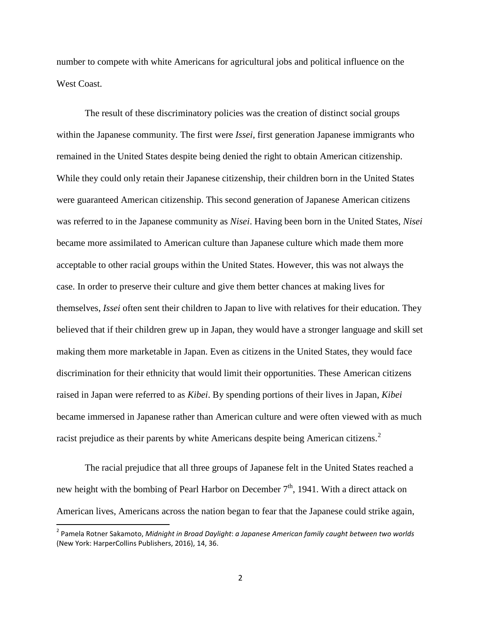number to compete with white Americans for agricultural jobs and political influence on the West Coast.

The result of these discriminatory policies was the creation of distinct social groups within the Japanese community. The first were *Issei*, first generation Japanese immigrants who remained in the United States despite being denied the right to obtain American citizenship. While they could only retain their Japanese citizenship, their children born in the United States were guaranteed American citizenship. This second generation of Japanese American citizens was referred to in the Japanese community as *Nisei*. Having been born in the United States, *Nisei* became more assimilated to American culture than Japanese culture which made them more acceptable to other racial groups within the United States. However, this was not always the case. In order to preserve their culture and give them better chances at making lives for themselves, *Issei* often sent their children to Japan to live with relatives for their education. They believed that if their children grew up in Japan, they would have a stronger language and skill set making them more marketable in Japan. Even as citizens in the United States, they would face discrimination for their ethnicity that would limit their opportunities. These American citizens raised in Japan were referred to as *Kibei*. By spending portions of their lives in Japan, *Kibei*  became immersed in Japanese rather than American culture and were often viewed with as much racist prejudice as their parents by white Americans despite being American citizens.[2](#page-4-0)

The racial prejudice that all three groups of Japanese felt in the United States reached a new height with the bombing of Pearl Harbor on December  $7<sup>th</sup>$ , 1941. With a direct attack on American lives, Americans across the nation began to fear that the Japanese could strike again,

<span id="page-4-0"></span> <sup>2</sup> Pamela Rotner Sakamoto, *Midnight in Broad Daylight*: *a Japanese American family caught between two worlds* (New York: HarperCollins Publishers, 2016), 14, 36.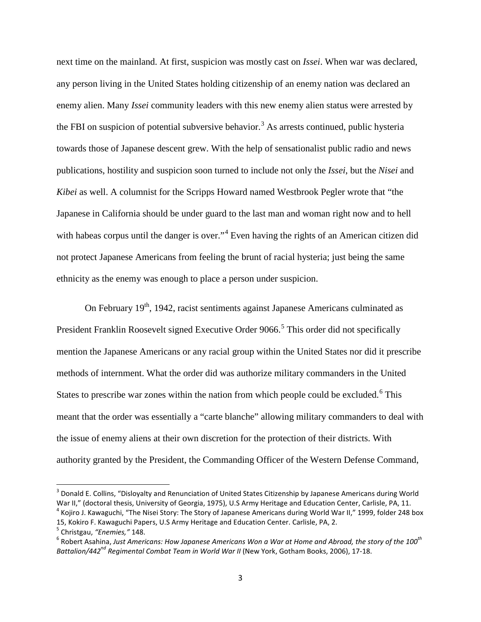next time on the mainland. At first, suspicion was mostly cast on *Issei*. When war was declared, any person living in the United States holding citizenship of an enemy nation was declared an enemy alien. Many *Issei* community leaders with this new enemy alien status were arrested by the FBI on suspicion of potential subversive behavior.<sup>[3](#page-5-0)</sup> As arrests continued, public hysteria towards those of Japanese descent grew. With the help of sensationalist public radio and news publications, hostility and suspicion soon turned to include not only the *Issei*, but the *Nisei* and *Kibei* as well. A columnist for the Scripps Howard named Westbrook Pegler wrote that "the Japanese in California should be under guard to the last man and woman right now and to hell with habeas corpus until the danger is over."<sup>[4](#page-5-1)</sup> Even having the rights of an American citizen did not protect Japanese Americans from feeling the brunt of racial hysteria; just being the same ethnicity as the enemy was enough to place a person under suspicion.

On February  $19<sup>th</sup>$ , 1942, racist sentiments against Japanese Americans culminated as President Franklin Roosevelt signed Executive Order 9066.<sup>[5](#page-5-2)</sup> This order did not specifically mention the Japanese Americans or any racial group within the United States nor did it prescribe methods of internment. What the order did was authorize military commanders in the United States to prescribe war zones within the nation from which people could be excluded.<sup>[6](#page-5-3)</sup> This meant that the order was essentially a "carte blanche" allowing military commanders to deal with the issue of enemy aliens at their own discretion for the protection of their districts. With authority granted by the President, the Commanding Officer of the Western Defense Command,

<span id="page-5-0"></span><sup>&</sup>lt;sup>3</sup> Donald E. Collins, "Dislovalty and Renunciation of United States Citizenship by Japanese Americans during World War II," (doctoral thesis, University of Georgia, 1975), U.S Army Heritage and Education Center, Carlisle, PA, 11.<br><sup>4</sup> Kojiro J. Kawaguchi, "The Nisei Story: The Story of Japanese Americans during World War II," 1999, fold

<span id="page-5-1"></span><sup>15,</sup> Kokiro F. Kawaguchi Papers, U.S Army Heritage and Education Center. Carlisle, PA, 2.<br><sup>5</sup> Christgau, "Enemies," 148.

<span id="page-5-2"></span>

<span id="page-5-3"></span><sup>&</sup>lt;sup>6</sup> Robert Asahina, Just Americans: How Japanese Americans Won a War at Home and Abroad, the story of the 100<sup>th</sup> *Battalion/442nd Regimental Combat Team in World War II* (New York, Gotham Books, 2006), 17-18.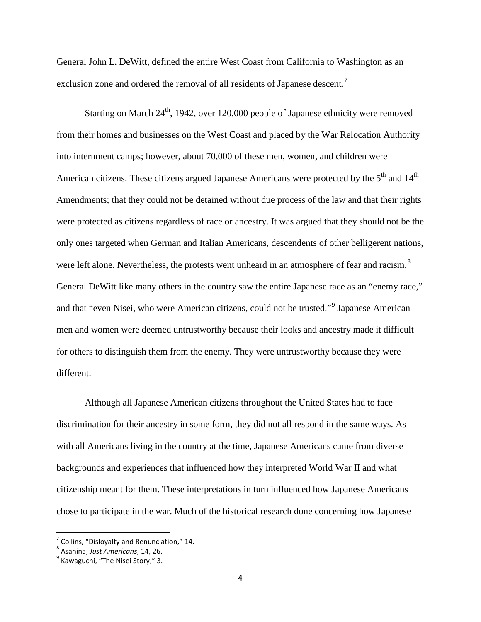General John L. DeWitt, defined the entire West Coast from California to Washington as an exclusion zone and ordered the removal of all residents of Japanese descent.<sup>[7](#page-6-0)</sup>

Starting on March  $24<sup>th</sup>$ , 1942, over 120,000 people of Japanese ethnicity were removed from their homes and businesses on the West Coast and placed by the War Relocation Authority into internment camps; however, about 70,000 of these men, women, and children were American citizens. These citizens argued Japanese Americans were protected by the 5<sup>th</sup> and 14<sup>th</sup> Amendments; that they could not be detained without due process of the law and that their rights were protected as citizens regardless of race or ancestry. It was argued that they should not be the only ones targeted when German and Italian Americans, descendents of other belligerent nations, were left alone. Nevertheless, the protests went unheard in an atmosphere of fear and racism.<sup>[8](#page-6-1)</sup> General DeWitt like many others in the country saw the entire Japanese race as an "enemy race," and that "even Nisei, who were American citizens, could not be trusted."<sup>[9](#page-6-2)</sup> Japanese American men and women were deemed untrustworthy because their looks and ancestry made it difficult for others to distinguish them from the enemy. They were untrustworthy because they were different.

Although all Japanese American citizens throughout the United States had to face discrimination for their ancestry in some form, they did not all respond in the same ways. As with all Americans living in the country at the time, Japanese Americans came from diverse backgrounds and experiences that influenced how they interpreted World War II and what citizenship meant for them. These interpretations in turn influenced how Japanese Americans chose to participate in the war. Much of the historical research done concerning how Japanese

<span id="page-6-0"></span><sup>&</sup>lt;sup>7</sup> Collins, "Disloyalty and Renunciation," 14.<br><sup>8</sup> Asahina, *Just Americans*, 14, 26.<br><sup>9</sup> Kawaguchi, "The Nisei Story," 3.

<span id="page-6-1"></span>

<span id="page-6-2"></span>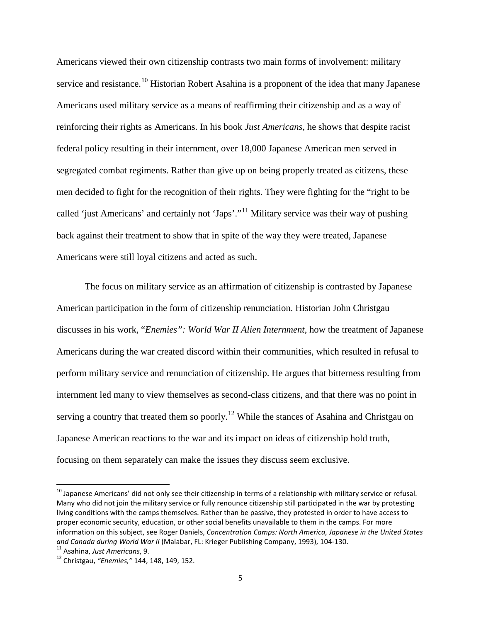Americans viewed their own citizenship contrasts two main forms of involvement: military service and resistance.<sup>[10](#page-7-0)</sup> Historian Robert Asahina is a proponent of the idea that many Japanese Americans used military service as a means of reaffirming their citizenship and as a way of reinforcing their rights as Americans. In his book *Just Americans*, he shows that despite racist federal policy resulting in their internment, over 18,000 Japanese American men served in segregated combat regiments. Rather than give up on being properly treated as citizens, these men decided to fight for the recognition of their rights. They were fighting for the "right to be called 'just Americans' and certainly not 'Japs'."[11](#page-7-1) Military service was their way of pushing back against their treatment to show that in spite of the way they were treated, Japanese Americans were still loyal citizens and acted as such.

The focus on military service as an affirmation of citizenship is contrasted by Japanese American participation in the form of citizenship renunciation. Historian John Christgau discusses in his work, "*Enemies": World War II Alien Internment*, how the treatment of Japanese Americans during the war created discord within their communities, which resulted in refusal to perform military service and renunciation of citizenship. He argues that bitterness resulting from internment led many to view themselves as second-class citizens, and that there was no point in serving a country that treated them so poorly.<sup>[12](#page-7-2)</sup> While the stances of Asahina and Christgau on Japanese American reactions to the war and its impact on ideas of citizenship hold truth, focusing on them separately can make the issues they discuss seem exclusive.

<span id="page-7-0"></span> $10$  Japanese Americans' did not only see their citizenship in terms of a relationship with military service or refusal. Many who did not join the military service or fully renounce citizenship still participated in the war by protesting living conditions with the camps themselves. Rather than be passive, they protested in order to have access to proper economic security, education, or other social benefits unavailable to them in the camps. For more information on this subject, see Roger Daniels, *Concentration Camps: North America, Japanese in the United States and Canada during World War II* (Malabar, FL: Krieger Publishing Company, 1993), 104-130. 11 Asahina, *Just Americans*, 9. <sup>12</sup> Christgau, *"Enemies,"* 144, 148, 149, 152.

<span id="page-7-2"></span><span id="page-7-1"></span>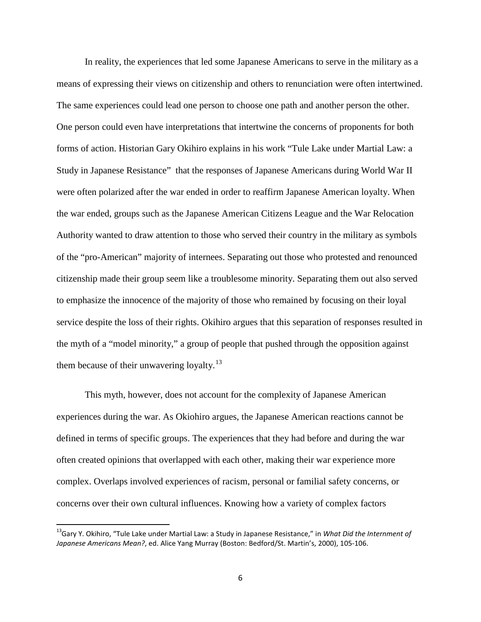In reality, the experiences that led some Japanese Americans to serve in the military as a means of expressing their views on citizenship and others to renunciation were often intertwined. The same experiences could lead one person to choose one path and another person the other. One person could even have interpretations that intertwine the concerns of proponents for both forms of action. Historian Gary Okihiro explains in his work "Tule Lake under Martial Law: a Study in Japanese Resistance" that the responses of Japanese Americans during World War II were often polarized after the war ended in order to reaffirm Japanese American loyalty. When the war ended, groups such as the Japanese American Citizens League and the War Relocation Authority wanted to draw attention to those who served their country in the military as symbols of the "pro-American" majority of internees. Separating out those who protested and renounced citizenship made their group seem like a troublesome minority. Separating them out also served to emphasize the innocence of the majority of those who remained by focusing on their loyal service despite the loss of their rights. Okihiro argues that this separation of responses resulted in the myth of a "model minority," a group of people that pushed through the opposition against them because of their unwavering loyalty. $^{13}$  $^{13}$  $^{13}$ 

This myth, however, does not account for the complexity of Japanese American experiences during the war. As Okiohiro argues, the Japanese American reactions cannot be defined in terms of specific groups. The experiences that they had before and during the war often created opinions that overlapped with each other, making their war experience more complex. Overlaps involved experiences of racism, personal or familial safety concerns, or concerns over their own cultural influences. Knowing how a variety of complex factors

<span id="page-8-0"></span> <sup>13</sup>Gary Y. Okihiro, "Tule Lake under Martial Law: a Study in Japanese Resistance," in *What Did the Internment of Japanese Americans Mean?*, ed. Alice Yang Murray (Boston: Bedford/St. Martin's, 2000), 105-106.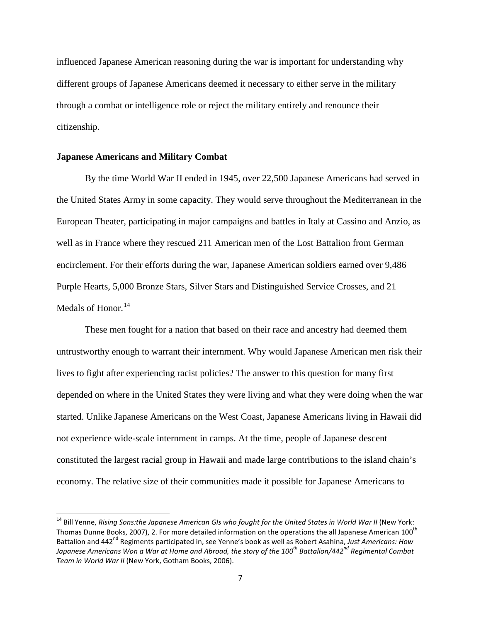influenced Japanese American reasoning during the war is important for understanding why different groups of Japanese Americans deemed it necessary to either serve in the military through a combat or intelligence role or reject the military entirely and renounce their citizenship.

#### **Japanese Americans and Military Combat**

By the time World War II ended in 1945, over 22,500 Japanese Americans had served in the United States Army in some capacity. They would serve throughout the Mediterranean in the European Theater, participating in major campaigns and battles in Italy at Cassino and Anzio, as well as in France where they rescued 211 American men of the Lost Battalion from German encirclement. For their efforts during the war, Japanese American soldiers earned over 9,486 Purple Hearts, 5,000 Bronze Stars, Silver Stars and Distinguished Service Crosses, and 21 Medals of Honor.<sup>[14](#page-9-0)</sup>

These men fought for a nation that based on their race and ancestry had deemed them untrustworthy enough to warrant their internment. Why would Japanese American men risk their lives to fight after experiencing racist policies? The answer to this question for many first depended on where in the United States they were living and what they were doing when the war started. Unlike Japanese Americans on the West Coast, Japanese Americans living in Hawaii did not experience wide-scale internment in camps. At the time, people of Japanese descent constituted the largest racial group in Hawaii and made large contributions to the island chain's economy. The relative size of their communities made it possible for Japanese Americans to

<span id="page-9-0"></span><sup>&</sup>lt;sup>14</sup> Bill Yenne, *Rising Sons:the Japanese American GIs who fought for the United States in World War II (New York:* Thomas Dunne Books, 2007), 2. For more detailed information on the operations the all Japanese American 100<sup>th</sup> Battalion and 442<sup>nd</sup> Regiments participated in, see Yenne's book as well as Robert Asahina, Just Americans: How *Japanese Americans Won a War at Home and Abroad, the story of the 100th Battalion/442nd Regimental Combat Team in World War II* (New York, Gotham Books, 2006).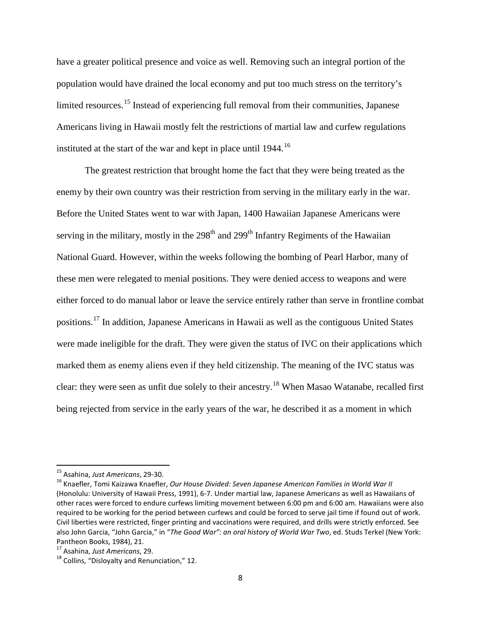have a greater political presence and voice as well. Removing such an integral portion of the population would have drained the local economy and put too much stress on the territory's limited resources.<sup>[15](#page-10-0)</sup> Instead of experiencing full removal from their communities, Japanese Americans living in Hawaii mostly felt the restrictions of martial law and curfew regulations instituted at the start of the war and kept in place until 1944.<sup>[16](#page-10-1)</sup>

The greatest restriction that brought home the fact that they were being treated as the enemy by their own country was their restriction from serving in the military early in the war. Before the United States went to war with Japan, 1400 Hawaiian Japanese Americans were serving in the military, mostly in the  $298<sup>th</sup>$  and  $299<sup>th</sup>$  Infantry Regiments of the Hawaiian National Guard. However, within the weeks following the bombing of Pearl Harbor, many of these men were relegated to menial positions. They were denied access to weapons and were either forced to do manual labor or leave the service entirely rather than serve in frontline combat positions.<sup>[17](#page-10-2)</sup> In addition, Japanese Americans in Hawaii as well as the contiguous United States were made ineligible for the draft. They were given the status of IVC on their applications which marked them as enemy aliens even if they held citizenship. The meaning of the IVC status was clear: they were seen as unfit due solely to their ancestry.[18](#page-10-3) When Masao Watanabe, recalled first being rejected from service in the early years of the war, he described it as a moment in which

<span id="page-10-1"></span><span id="page-10-0"></span><sup>&</sup>lt;sup>15</sup> Asahina, Just Americans, 29-30.<br><sup>16</sup> Knaefler, Tomi Kaizawa Knaefler, *Our House Divided: Seven Japanese American Families in World War II* (Honolulu: University of Hawaii Press, 1991), 6-7. Under martial law, Japanese Americans as well as Hawaiians of other races were forced to endure curfews limiting movement between 6:00 pm and 6:00 am. Hawaiians were also required to be working for the period between curfews and could be forced to serve jail time if found out of work. Civil liberties were restricted, finger printing and vaccinations were required, and drills were strictly enforced. See also John Garcia, "John Garcia," in "*The Good War": an oral history of World War Two*, ed. Studs Terkel (New York: Pantheon Books, 1984), 21.<br><sup>17</sup> Asahina, Just Americans, 29.

<span id="page-10-2"></span>

<span id="page-10-3"></span><sup>&</sup>lt;sup>18</sup> Collins, "Dislovalty and Renunciation," 12.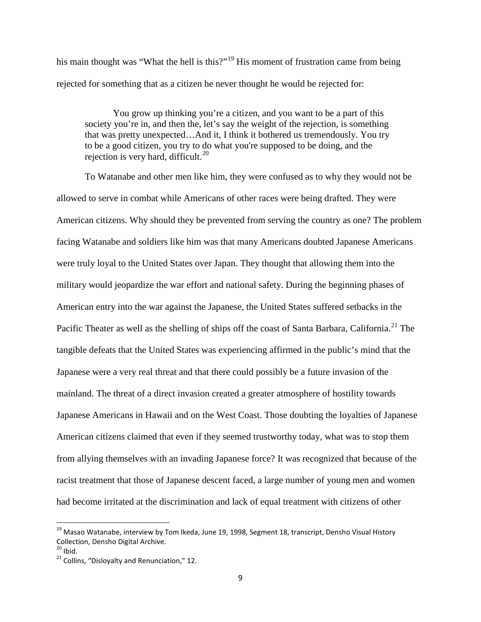his main thought was "What the hell is this?"<sup>[19](#page-11-0)</sup> His moment of frustration came from being rejected for something that as a citizen he never thought he would be rejected for:

You grow up thinking you're a citizen, and you want to be a part of this society you're in, and then the, let's say the weight of the rejection, is something that was pretty unexpected…And it, I think it bothered us tremendously. You try to be a good citizen, you try to do what you're supposed to be doing, and the rejection is very hard, difficult.<sup>[20](#page-11-1)</sup>

To Watanabe and other men like him, they were confused as to why they would not be allowed to serve in combat while Americans of other races were being drafted. They were American citizens. Why should they be prevented from serving the country as one? The problem facing Watanabe and soldiers like him was that many Americans doubted Japanese Americans were truly loyal to the United States over Japan. They thought that allowing them into the military would jeopardize the war effort and national safety. During the beginning phases of American entry into the war against the Japanese, the United States suffered setbacks in the Pacific Theater as well as the shelling of ships off the coast of Santa Barbara, California.<sup>[21](#page-11-2)</sup> The tangible defeats that the United States was experiencing affirmed in the public's mind that the Japanese were a very real threat and that there could possibly be a future invasion of the mainland. The threat of a direct invasion created a greater atmosphere of hostility towards Japanese Americans in Hawaii and on the West Coast. Those doubting the loyalties of Japanese American citizens claimed that even if they seemed trustworthy today, what was to stop them from allying themselves with an invading Japanese force? It was recognized that because of the racist treatment that those of Japanese descent faced, a large number of young men and women had become irritated at the discrimination and lack of equal treatment with citizens of other

<span id="page-11-0"></span> $19$  Masao Watanabe, interview by Tom Ikeda, June 19, 1998, Segment 18, transcript, Densho Visual History Collection, Densho Digital Archive.<br><sup>20</sup> Ibid.

<span id="page-11-1"></span>

<span id="page-11-2"></span> $21$  Collins, "Disloyalty and Renunciation," 12.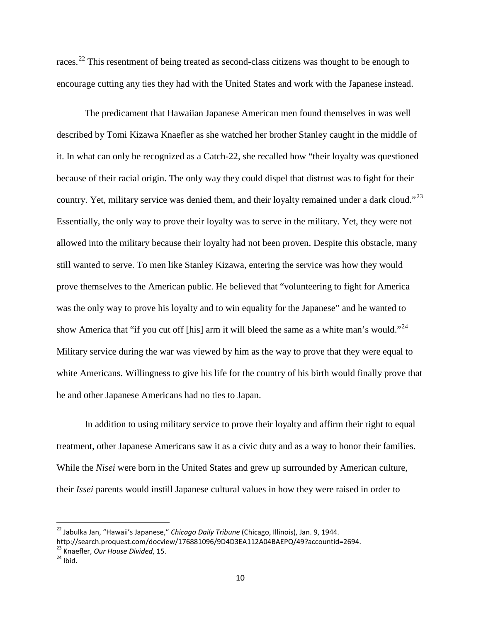races.<sup>[22](#page-12-0)</sup> This resentment of being treated as second-class citizens was thought to be enough to encourage cutting any ties they had with the United States and work with the Japanese instead.

The predicament that Hawaiian Japanese American men found themselves in was well described by Tomi Kizawa Knaefler as she watched her brother Stanley caught in the middle of it. In what can only be recognized as a Catch-22, she recalled how "their loyalty was questioned because of their racial origin. The only way they could dispel that distrust was to fight for their country. Yet, military service was denied them, and their loyalty remained under a dark cloud."<sup>[23](#page-12-1)</sup> Essentially, the only way to prove their loyalty was to serve in the military. Yet, they were not allowed into the military because their loyalty had not been proven. Despite this obstacle, many still wanted to serve. To men like Stanley Kizawa, entering the service was how they would prove themselves to the American public. He believed that "volunteering to fight for America was the only way to prove his loyalty and to win equality for the Japanese" and he wanted to show America that "if you cut off [his] arm it will bleed the same as a white man's would."<sup>[24](#page-12-2)</sup> Military service during the war was viewed by him as the way to prove that they were equal to white Americans. Willingness to give his life for the country of his birth would finally prove that he and other Japanese Americans had no ties to Japan.

In addition to using military service to prove their loyalty and affirm their right to equal treatment, other Japanese Americans saw it as a civic duty and as a way to honor their families. While the *Nisei* were born in the United States and grew up surrounded by American culture, their *Issei* parents would instill Japanese cultural values in how they were raised in order to

<span id="page-12-0"></span> <sup>22</sup> Jabulka Jan, "Hawaii's Japanese," *Chicago Daily Tribune* (Chicago, Illinois), Jan. 9, 1944. http://search.proquest.com/docview/176881096/9D4D3EA112A04BAEPQ/49?accountid=2694.<br><sup>23</sup> Knaefler, *Our House Divided*, 15. 24 Ibid.

<span id="page-12-1"></span>

<span id="page-12-2"></span>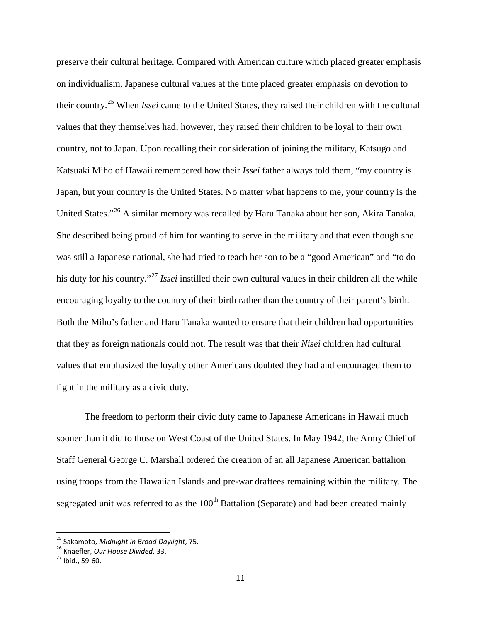preserve their cultural heritage. Compared with American culture which placed greater emphasis on individualism, Japanese cultural values at the time placed greater emphasis on devotion to their country.[25](#page-13-0) When *Issei* came to the United States, they raised their children with the cultural values that they themselves had; however, they raised their children to be loyal to their own country, not to Japan. Upon recalling their consideration of joining the military, Katsugo and Katsuaki Miho of Hawaii remembered how their *Issei* father always told them, "my country is Japan, but your country is the United States. No matter what happens to me, your country is the United States."[26](#page-13-1) A similar memory was recalled by Haru Tanaka about her son, Akira Tanaka. She described being proud of him for wanting to serve in the military and that even though she was still a Japanese national, she had tried to teach her son to be a "good American" and "to do his duty for his country."[27](#page-13-2) *Issei* instilled their own cultural values in their children all the while encouraging loyalty to the country of their birth rather than the country of their parent's birth. Both the Miho's father and Haru Tanaka wanted to ensure that their children had opportunities that they as foreign nationals could not. The result was that their *Nisei* children had cultural values that emphasized the loyalty other Americans doubted they had and encouraged them to fight in the military as a civic duty.

The freedom to perform their civic duty came to Japanese Americans in Hawaii much sooner than it did to those on West Coast of the United States. In May 1942, the Army Chief of Staff General George C. Marshall ordered the creation of an all Japanese American battalion using troops from the Hawaiian Islands and pre-war draftees remaining within the military. The segregated unit was referred to as the 100<sup>th</sup> Battalion (Separate) and had been created mainly

<span id="page-13-1"></span><span id="page-13-0"></span><sup>&</sup>lt;sup>25</sup> Sakamoto, *Midnight in Broad Daylight*, 75.<br><sup>26</sup> Knaefler, *Our House Divided*, 33.<br><sup>27</sup> Ibid., 59-60.

<span id="page-13-2"></span>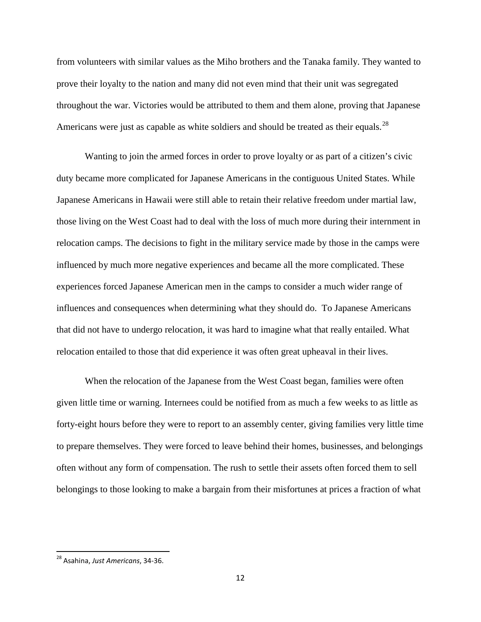from volunteers with similar values as the Miho brothers and the Tanaka family. They wanted to prove their loyalty to the nation and many did not even mind that their unit was segregated throughout the war. Victories would be attributed to them and them alone, proving that Japanese Americans were just as capable as white soldiers and should be treated as their equals.<sup>[28](#page-14-0)</sup>

Wanting to join the armed forces in order to prove loyalty or as part of a citizen's civic duty became more complicated for Japanese Americans in the contiguous United States. While Japanese Americans in Hawaii were still able to retain their relative freedom under martial law, those living on the West Coast had to deal with the loss of much more during their internment in relocation camps. The decisions to fight in the military service made by those in the camps were influenced by much more negative experiences and became all the more complicated. These experiences forced Japanese American men in the camps to consider a much wider range of influences and consequences when determining what they should do. To Japanese Americans that did not have to undergo relocation, it was hard to imagine what that really entailed. What relocation entailed to those that did experience it was often great upheaval in their lives.

When the relocation of the Japanese from the West Coast began, families were often given little time or warning. Internees could be notified from as much a few weeks to as little as forty-eight hours before they were to report to an assembly center, giving families very little time to prepare themselves. They were forced to leave behind their homes, businesses, and belongings often without any form of compensation. The rush to settle their assets often forced them to sell belongings to those looking to make a bargain from their misfortunes at prices a fraction of what

<span id="page-14-0"></span> <sup>28</sup> Asahina, *Just Americans*, 34-36.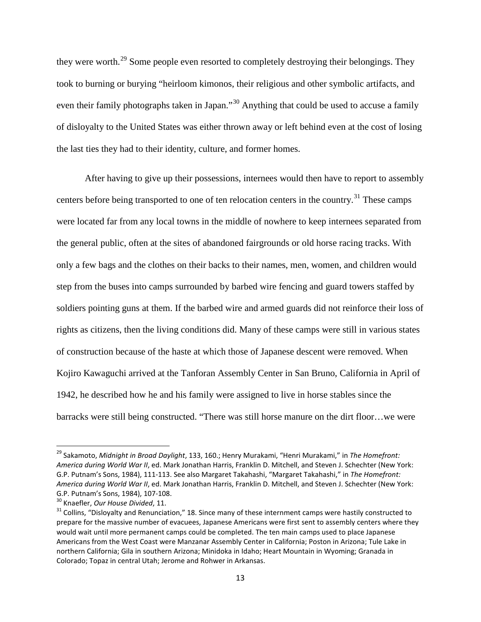they were worth.<sup>[29](#page-15-0)</sup> Some people even resorted to completely destroying their belongings. They took to burning or burying "heirloom kimonos, their religious and other symbolic artifacts, and even their family photographs taken in Japan."<sup>[30](#page-15-1)</sup> Anything that could be used to accuse a family of disloyalty to the United States was either thrown away or left behind even at the cost of losing the last ties they had to their identity, culture, and former homes.

After having to give up their possessions, internees would then have to report to assembly centers before being transported to one of ten relocation centers in the country.<sup>[31](#page-15-2)</sup> These camps were located far from any local towns in the middle of nowhere to keep internees separated from the general public, often at the sites of abandoned fairgrounds or old horse racing tracks. With only a few bags and the clothes on their backs to their names, men, women, and children would step from the buses into camps surrounded by barbed wire fencing and guard towers staffed by soldiers pointing guns at them. If the barbed wire and armed guards did not reinforce their loss of rights as citizens, then the living conditions did. Many of these camps were still in various states of construction because of the haste at which those of Japanese descent were removed. When Kojiro Kawaguchi arrived at the Tanforan Assembly Center in San Bruno, California in April of 1942, he described how he and his family were assigned to live in horse stables since the barracks were still being constructed. "There was still horse manure on the dirt floor…we were

<span id="page-15-0"></span> <sup>29</sup> Sakamoto, *Midnight in Broad Daylight*, 133, 160.; Henry Murakami, "Henri Murakami," in *The Homefront: America during World War II*, ed. Mark Jonathan Harris, Franklin D. Mitchell, and Steven J. Schechter (New York: G.P. Putnam's Sons, 1984), 111-113. See also Margaret Takahashi, "Margaret Takahashi," in *The Homefront: America during World War II*, ed. Mark Jonathan Harris, Franklin D. Mitchell, and Steven J. Schechter (New York:

<span id="page-15-2"></span><span id="page-15-1"></span>

G.P. Putnam's Sons, 1984), 107-108.<br><sup>30</sup> Knaefler, *Our House Divided*, 11.<br><sup>31</sup> Collins, "Disloyalty and Renunciation," 18. Since many of these internment camps were hastily constructed to prepare for the massive number of evacuees, Japanese Americans were first sent to assembly centers where they would wait until more permanent camps could be completed. The ten main camps used to place Japanese Americans from the West Coast were Manzanar Assembly Center in California; Poston in Arizona; Tule Lake in northern California; Gila in southern Arizona; Minidoka in Idaho; Heart Mountain in Wyoming; Granada in Colorado; Topaz in central Utah; Jerome and Rohwer in Arkansas.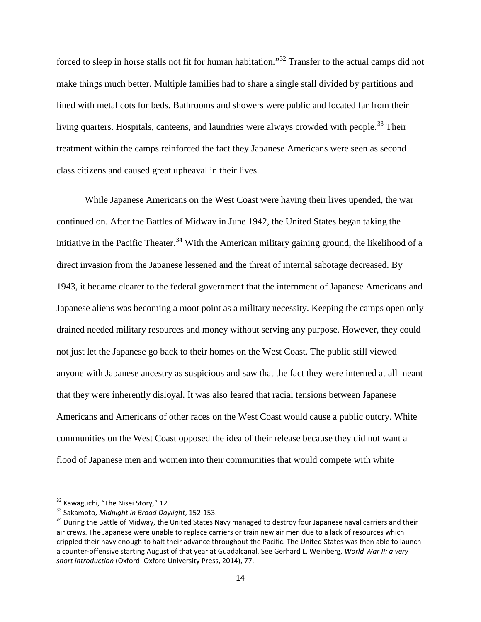forced to sleep in horse stalls not fit for human habitation."[32](#page-16-0) Transfer to the actual camps did not make things much better. Multiple families had to share a single stall divided by partitions and lined with metal cots for beds. Bathrooms and showers were public and located far from their living quarters. Hospitals, canteens, and laundries were always crowded with people.<sup>[33](#page-16-1)</sup> Their treatment within the camps reinforced the fact they Japanese Americans were seen as second class citizens and caused great upheaval in their lives.

While Japanese Americans on the West Coast were having their lives upended, the war continued on. After the Battles of Midway in June 1942, the United States began taking the initiative in the Pacific Theater.<sup>[34](#page-16-2)</sup> With the American military gaining ground, the likelihood of a direct invasion from the Japanese lessened and the threat of internal sabotage decreased. By 1943, it became clearer to the federal government that the internment of Japanese Americans and Japanese aliens was becoming a moot point as a military necessity. Keeping the camps open only drained needed military resources and money without serving any purpose. However, they could not just let the Japanese go back to their homes on the West Coast. The public still viewed anyone with Japanese ancestry as suspicious and saw that the fact they were interned at all meant that they were inherently disloyal. It was also feared that racial tensions between Japanese Americans and Americans of other races on the West Coast would cause a public outcry. White communities on the West Coast opposed the idea of their release because they did not want a flood of Japanese men and women into their communities that would compete with white

<span id="page-16-2"></span><span id="page-16-1"></span>

<span id="page-16-0"></span><sup>&</sup>lt;sup>32</sup> Kawaguchi, "The Nisei Story," 12.<br><sup>33</sup> Sakamoto, *Midnight in Broad Daylight*, 152-153.<br><sup>34</sup> During the Battle of Midway, the United States Navy managed to destroy four Japanese naval carriers and their air crews. The Japanese were unable to replace carriers or train new air men due to a lack of resources which crippled their navy enough to halt their advance throughout the Pacific. The United States was then able to launch a counter-offensive starting August of that year at Guadalcanal. See Gerhard L. Weinberg, *World War II: a very short introduction* (Oxford: Oxford University Press, 2014), 77.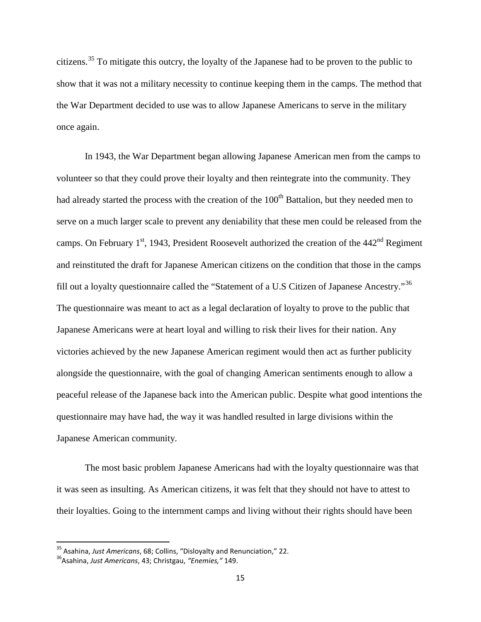citizens.<sup>[35](#page-17-0)</sup> To mitigate this outcry, the loyalty of the Japanese had to be proven to the public to show that it was not a military necessity to continue keeping them in the camps. The method that the War Department decided to use was to allow Japanese Americans to serve in the military once again.

In 1943, the War Department began allowing Japanese American men from the camps to volunteer so that they could prove their loyalty and then reintegrate into the community. They had already started the process with the creation of the  $100<sup>th</sup>$  Battalion, but they needed men to serve on a much larger scale to prevent any deniability that these men could be released from the camps. On February  $1<sup>st</sup>$ , 1943, President Roosevelt authorized the creation of the 442<sup>nd</sup> Regiment and reinstituted the draft for Japanese American citizens on the condition that those in the camps fill out a loyalty questionnaire called the "Statement of a U.S Citizen of Japanese Ancestry."[36](#page-17-1) The questionnaire was meant to act as a legal declaration of loyalty to prove to the public that Japanese Americans were at heart loyal and willing to risk their lives for their nation. Any victories achieved by the new Japanese American regiment would then act as further publicity alongside the questionnaire, with the goal of changing American sentiments enough to allow a peaceful release of the Japanese back into the American public. Despite what good intentions the questionnaire may have had, the way it was handled resulted in large divisions within the Japanese American community.

The most basic problem Japanese Americans had with the loyalty questionnaire was that it was seen as insulting. As American citizens, it was felt that they should not have to attest to their loyalties. Going to the internment camps and living without their rights should have been

<span id="page-17-0"></span><sup>&</sup>lt;sup>35</sup> Asahina, *Just Americans*, 68; Collins, "Disloyalty and Renunciation," 22.<br><sup>36</sup>Asahina, *Just Americans*, 43; Christgau, "*Enemies,"* 149.

<span id="page-17-1"></span>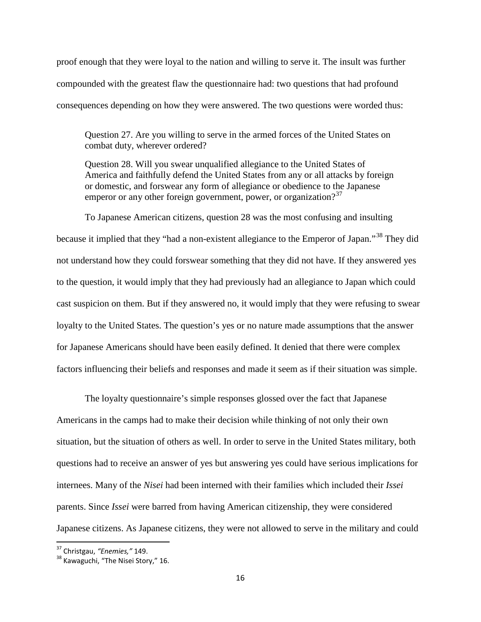proof enough that they were loyal to the nation and willing to serve it. The insult was further compounded with the greatest flaw the questionnaire had: two questions that had profound consequences depending on how they were answered. The two questions were worded thus:

Question 27. Are you willing to serve in the armed forces of the United States on combat duty, wherever ordered?

Question 28. Will you swear unqualified allegiance to the United States of America and faithfully defend the United States from any or all attacks by foreign or domestic, and forswear any form of allegiance or obedience to the Japanese emperor or any other foreign government, power, or organization?<sup>[37](#page-18-0)</sup>

To Japanese American citizens, question 28 was the most confusing and insulting because it implied that they "had a non-existent allegiance to the Emperor of Japan."<sup>[38](#page-18-1)</sup> They did not understand how they could forswear something that they did not have. If they answered yes to the question, it would imply that they had previously had an allegiance to Japan which could cast suspicion on them. But if they answered no, it would imply that they were refusing to swear loyalty to the United States. The question's yes or no nature made assumptions that the answer for Japanese Americans should have been easily defined. It denied that there were complex factors influencing their beliefs and responses and made it seem as if their situation was simple.

The loyalty questionnaire's simple responses glossed over the fact that Japanese Americans in the camps had to make their decision while thinking of not only their own situation, but the situation of others as well. In order to serve in the United States military, both questions had to receive an answer of yes but answering yes could have serious implications for internees. Many of the *Nisei* had been interned with their families which included their *Issei*  parents. Since *Issei* were barred from having American citizenship, they were considered Japanese citizens. As Japanese citizens, they were not allowed to serve in the military and could

<span id="page-18-1"></span><span id="page-18-0"></span>

<sup>&</sup>lt;sup>37</sup> Christgau, *"Enemies,"* 149.<br><sup>38</sup> Kawaguchi, "The Nisei Story," 16.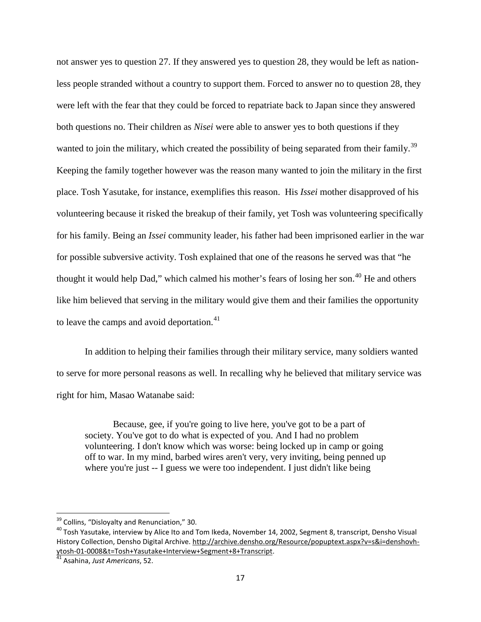not answer yes to question 27. If they answered yes to question 28, they would be left as nationless people stranded without a country to support them. Forced to answer no to question 28, they were left with the fear that they could be forced to repatriate back to Japan since they answered both questions no. Their children as *Nisei* were able to answer yes to both questions if they wanted to join the military, which created the possibility of being separated from their family.<sup>[39](#page-19-0)</sup> Keeping the family together however was the reason many wanted to join the military in the first place. Tosh Yasutake, for instance, exemplifies this reason. His *Issei* mother disapproved of his volunteering because it risked the breakup of their family, yet Tosh was volunteering specifically for his family. Being an *Issei* community leader, his father had been imprisoned earlier in the war for possible subversive activity. Tosh explained that one of the reasons he served was that "he thought it would help Dad," which calmed his mother's fears of losing her son.<sup>[40](#page-19-1)</sup> He and others like him believed that serving in the military would give them and their families the opportunity to leave the camps and avoid deportation.<sup>[41](#page-19-2)</sup>

In addition to helping their families through their military service, many soldiers wanted to serve for more personal reasons as well. In recalling why he believed that military service was right for him, Masao Watanabe said:

Because, gee, if you're going to live here, you've got to be a part of society. You've got to do what is expected of you. And I had no problem volunteering. I don't know which was worse: being locked up in camp or going off to war. In my mind, barbed wires aren't very, very inviting, being penned up where you're just -- I guess we were too independent. I just didn't like being

<span id="page-19-1"></span><span id="page-19-0"></span><sup>&</sup>lt;sup>39</sup> Collins, "Disloyalty and Renunciation," 30.<br><sup>40</sup> Tosh Yasutake, interview by Alice Ito and Tom Ikeda, November 14, 2002, Segment 8, transcript, Densho Visual History Collection, Densho Digital Archive. [http://archive.densho.org/Resource/popuptext.aspx?v=s&i=denshovh](http://archive.densho.org/Resource/popuptext.aspx?v=s&i=denshovh-ytosh-01-0008&t=Tosh+Yasutake+Interview+Segment+8+Transcript)[ytosh-01-0008&t=Tosh+Yasutake+Interview+Segment+8+Transcript.](http://archive.densho.org/Resource/popuptext.aspx?v=s&i=denshovh-ytosh-01-0008&t=Tosh+Yasutake+Interview+Segment+8+Transcript) [41](http://archive.densho.org/Resource/popuptext.aspx?v=s&i=denshovh-ytosh-01-0008&t=Tosh+Yasutake+Interview+Segment+8+Transcript) Asahina, *Just Americans*, 52.

<span id="page-19-2"></span>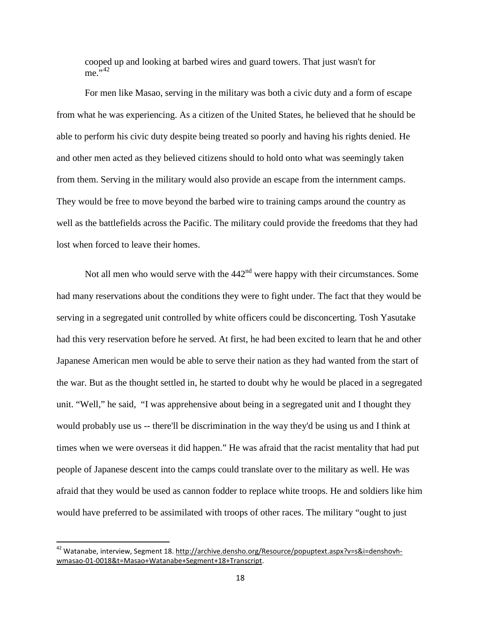cooped up and looking at barbed wires and guard towers. That just wasn't for  $me.^{5,42}$  $me.^{5,42}$  $me.^{5,42}$ 

For men like Masao, serving in the military was both a civic duty and a form of escape from what he was experiencing. As a citizen of the United States, he believed that he should be able to perform his civic duty despite being treated so poorly and having his rights denied. He and other men acted as they believed citizens should to hold onto what was seemingly taken from them. Serving in the military would also provide an escape from the internment camps. They would be free to move beyond the barbed wire to training camps around the country as well as the battlefields across the Pacific. The military could provide the freedoms that they had lost when forced to leave their homes.

Not all men who would serve with the  $442<sup>nd</sup>$  were happy with their circumstances. Some had many reservations about the conditions they were to fight under. The fact that they would be serving in a segregated unit controlled by white officers could be disconcerting. Tosh Yasutake had this very reservation before he served. At first, he had been excited to learn that he and other Japanese American men would be able to serve their nation as they had wanted from the start of the war. But as the thought settled in, he started to doubt why he would be placed in a segregated unit. "Well," he said, "I was apprehensive about being in a segregated unit and I thought they would probably use us -- there'll be discrimination in the way they'd be using us and I think at times when we were overseas it did happen." He was afraid that the racist mentality that had put people of Japanese descent into the camps could translate over to the military as well. He was afraid that they would be used as cannon fodder to replace white troops. He and soldiers like him would have preferred to be assimilated with troops of other races. The military "ought to just

<span id="page-20-0"></span><sup>&</sup>lt;sup>42</sup> Watanabe, interview, Segment 18. [http://archive.densho.org/Resource/popuptext.aspx?v=s&i=denshovh](http://archive.densho.org/Resource/popuptext.aspx?v=s&i=denshovh-wmasao-01-0018&t=Masao+Watanabe+Segment+18+Transcript)[wmasao-01-0018&t=Masao+Watanabe+Segment+18+Transcript.](http://archive.densho.org/Resource/popuptext.aspx?v=s&i=denshovh-wmasao-01-0018&t=Masao+Watanabe+Segment+18+Transcript)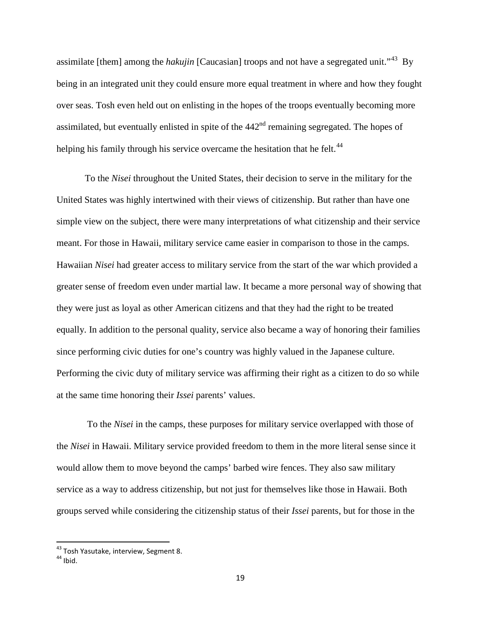assimilate [them] among the *hakujin* [Caucasian] troops and not have a segregated unit."[43](#page-21-0) By being in an integrated unit they could ensure more equal treatment in where and how they fought over seas. Tosh even held out on enlisting in the hopes of the troops eventually becoming more assimilated, but eventually enlisted in spite of the  $442<sup>nd</sup>$  remaining segregated. The hopes of helping his family through his service overcame the hesitation that he felt.<sup>[44](#page-21-1)</sup>

To the *Nisei* throughout the United States, their decision to serve in the military for the United States was highly intertwined with their views of citizenship. But rather than have one simple view on the subject, there were many interpretations of what citizenship and their service meant. For those in Hawaii, military service came easier in comparison to those in the camps. Hawaiian *Nisei* had greater access to military service from the start of the war which provided a greater sense of freedom even under martial law. It became a more personal way of showing that they were just as loyal as other American citizens and that they had the right to be treated equally. In addition to the personal quality, service also became a way of honoring their families since performing civic duties for one's country was highly valued in the Japanese culture. Performing the civic duty of military service was affirming their right as a citizen to do so while at the same time honoring their *Issei* parents' values.

To the *Nisei* in the camps, these purposes for military service overlapped with those of the *Nisei* in Hawaii. Military service provided freedom to them in the more literal sense since it would allow them to move beyond the camps' barbed wire fences. They also saw military service as a way to address citizenship, but not just for themselves like those in Hawaii. Both groups served while considering the citizenship status of their *Issei* parents, but for those in the

<span id="page-21-0"></span> $^{43}$  Tosh Yasutake, interview, Segment 8.<br> $^{44}$  Ibid

<span id="page-21-1"></span>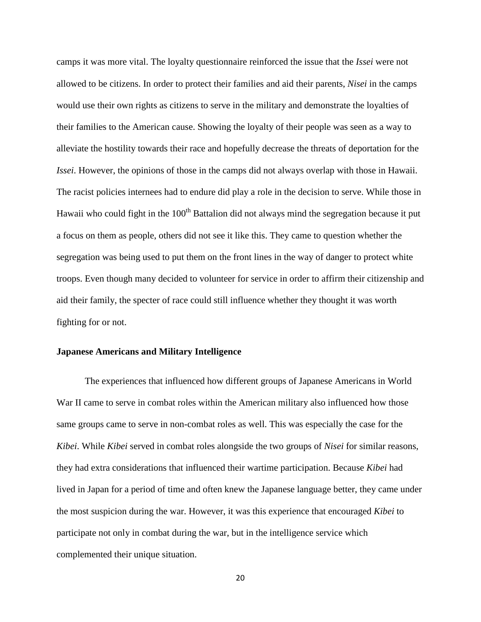camps it was more vital. The loyalty questionnaire reinforced the issue that the *Issei* were not allowed to be citizens. In order to protect their families and aid their parents, *Nisei* in the camps would use their own rights as citizens to serve in the military and demonstrate the loyalties of their families to the American cause. Showing the loyalty of their people was seen as a way to alleviate the hostility towards their race and hopefully decrease the threats of deportation for the *Issei*. However, the opinions of those in the camps did not always overlap with those in Hawaii. The racist policies internees had to endure did play a role in the decision to serve. While those in Hawaii who could fight in the  $100<sup>th</sup>$  Battalion did not always mind the segregation because it put a focus on them as people, others did not see it like this. They came to question whether the segregation was being used to put them on the front lines in the way of danger to protect white troops. Even though many decided to volunteer for service in order to affirm their citizenship and aid their family, the specter of race could still influence whether they thought it was worth fighting for or not.

#### **Japanese Americans and Military Intelligence**

The experiences that influenced how different groups of Japanese Americans in World War II came to serve in combat roles within the American military also influenced how those same groups came to serve in non-combat roles as well. This was especially the case for the *Kibei*. While *Kibei* served in combat roles alongside the two groups of *Nisei* for similar reasons, they had extra considerations that influenced their wartime participation. Because *Kibei* had lived in Japan for a period of time and often knew the Japanese language better, they came under the most suspicion during the war. However, it was this experience that encouraged *Kibei* to participate not only in combat during the war, but in the intelligence service which complemented their unique situation.

20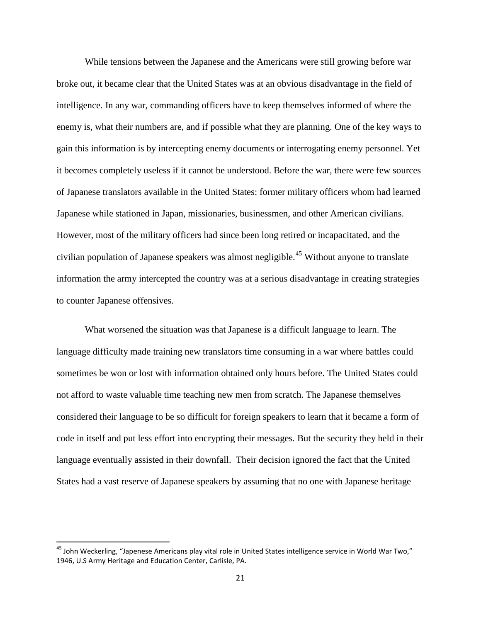While tensions between the Japanese and the Americans were still growing before war broke out, it became clear that the United States was at an obvious disadvantage in the field of intelligence. In any war, commanding officers have to keep themselves informed of where the enemy is, what their numbers are, and if possible what they are planning. One of the key ways to gain this information is by intercepting enemy documents or interrogating enemy personnel. Yet it becomes completely useless if it cannot be understood. Before the war, there were few sources of Japanese translators available in the United States: former military officers whom had learned Japanese while stationed in Japan, missionaries, businessmen, and other American civilians. However, most of the military officers had since been long retired or incapacitated, and the civilian population of Japanese speakers was almost negligible.<sup>[45](#page-23-0)</sup> Without anyone to translate information the army intercepted the country was at a serious disadvantage in creating strategies to counter Japanese offensives.

What worsened the situation was that Japanese is a difficult language to learn. The language difficulty made training new translators time consuming in a war where battles could sometimes be won or lost with information obtained only hours before. The United States could not afford to waste valuable time teaching new men from scratch. The Japanese themselves considered their language to be so difficult for foreign speakers to learn that it became a form of code in itself and put less effort into encrypting their messages. But the security they held in their language eventually assisted in their downfall. Their decision ignored the fact that the United States had a vast reserve of Japanese speakers by assuming that no one with Japanese heritage

<span id="page-23-0"></span> $45$  John Weckerling, "Japenese Americans play vital role in United States intelligence service in World War Two," 1946, U.S Army Heritage and Education Center, Carlisle, PA.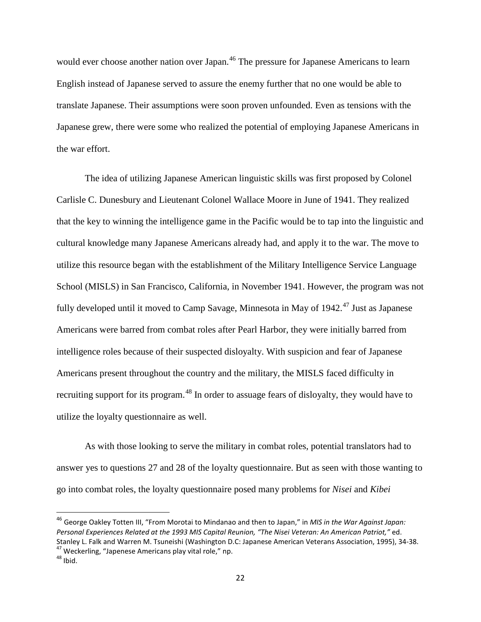would ever choose another nation over Japan.<sup>[46](#page-24-0)</sup> The pressure for Japanese Americans to learn English instead of Japanese served to assure the enemy further that no one would be able to translate Japanese. Their assumptions were soon proven unfounded. Even as tensions with the Japanese grew, there were some who realized the potential of employing Japanese Americans in the war effort.

The idea of utilizing Japanese American linguistic skills was first proposed by Colonel Carlisle C. Dunesbury and Lieutenant Colonel Wallace Moore in June of 1941. They realized that the key to winning the intelligence game in the Pacific would be to tap into the linguistic and cultural knowledge many Japanese Americans already had, and apply it to the war. The move to utilize this resource began with the establishment of the Military Intelligence Service Language School (MISLS) in San Francisco, California, in November 1941. However, the program was not fully developed until it moved to Camp Savage, Minnesota in May of 1942.<sup>[47](#page-24-1)</sup> Just as Japanese Americans were barred from combat roles after Pearl Harbor, they were initially barred from intelligence roles because of their suspected disloyalty. With suspicion and fear of Japanese Americans present throughout the country and the military, the MISLS faced difficulty in recruiting support for its program.<sup>[48](#page-24-2)</sup> In order to assuage fears of disloyalty, they would have to utilize the loyalty questionnaire as well.

As with those looking to serve the military in combat roles, potential translators had to answer yes to questions 27 and 28 of the loyalty questionnaire. But as seen with those wanting to go into combat roles, the loyalty questionnaire posed many problems for *Nisei* and *Kibei*

<span id="page-24-0"></span> <sup>46</sup> George Oakley Totten III, "From Morotai to Mindanao and then to Japan," in *MIS in the War Against Japan: Personal Experiences Related at the 1993 MIS Capital Reunion, "The Nisei Veteran: An American Patriot,"* ed. Stanley L. Falk and Warren M. Tsuneishi (Washington D.C: Japanese American Veterans Association, 1995), 34-38.<br><sup>47</sup> Weckerling, "Japenese Americans play vital role," np.<br><sup>48</sup> Ibid.

<span id="page-24-1"></span>

<span id="page-24-2"></span>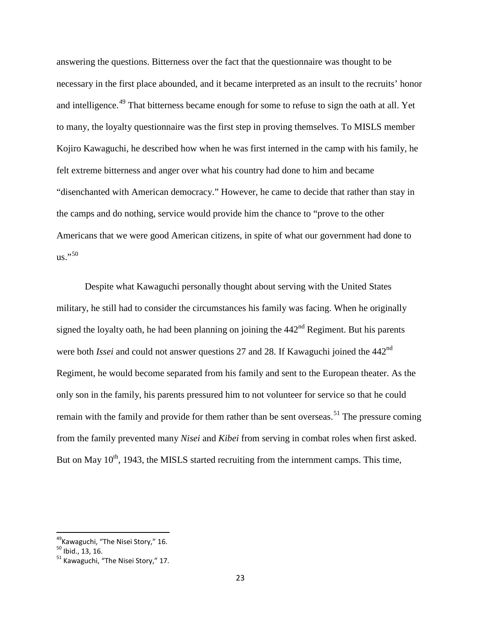answering the questions. Bitterness over the fact that the questionnaire was thought to be necessary in the first place abounded, and it became interpreted as an insult to the recruits' honor and intelligence.<sup>[49](#page-25-0)</sup> That bitterness became enough for some to refuse to sign the oath at all. Yet to many, the loyalty questionnaire was the first step in proving themselves. To MISLS member Kojiro Kawaguchi, he described how when he was first interned in the camp with his family, he felt extreme bitterness and anger over what his country had done to him and became "disenchanted with American democracy." However, he came to decide that rather than stay in the camps and do nothing, service would provide him the chance to "prove to the other Americans that we were good American citizens, in spite of what our government had done to us."[50](#page-25-1)

Despite what Kawaguchi personally thought about serving with the United States military, he still had to consider the circumstances his family was facing. When he originally signed the loyalty oath, he had been planning on joining the  $442<sup>nd</sup>$  Regiment. But his parents were both *Issei* and could not answer questions 27 and 28. If Kawaguchi joined the 442<sup>nd</sup> Regiment, he would become separated from his family and sent to the European theater. As the only son in the family, his parents pressured him to not volunteer for service so that he could remain with the family and provide for them rather than be sent overseas.<sup>[51](#page-25-2)</sup> The pressure coming from the family prevented many *Nisei* and *Kibei* from serving in combat roles when first asked. But on May  $10<sup>th</sup>$ , 1943, the MISLS started recruiting from the internment camps. This time,

<span id="page-25-0"></span><sup>&</sup>lt;sup>49</sup>Kawaguchi, "The Nisei Story," 16.<br><sup>50</sup> Ibid., 13, 16.<br><sup>51</sup> Kawaguchi. "The Nisei Story," 17.

<span id="page-25-1"></span>

<span id="page-25-2"></span>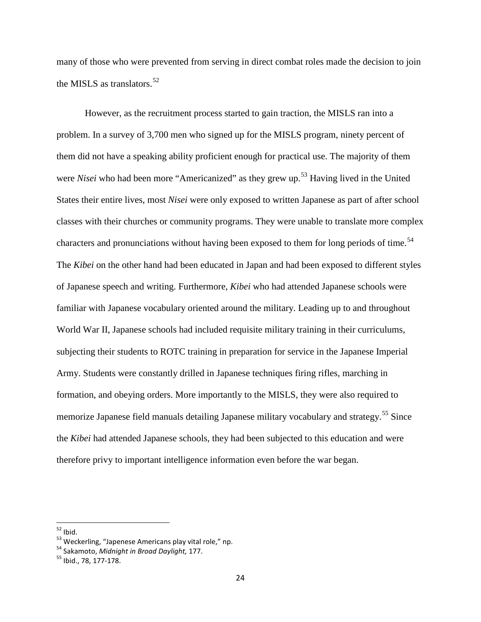many of those who were prevented from serving in direct combat roles made the decision to join the MISLS as translators.<sup>[52](#page-26-0)</sup>

However, as the recruitment process started to gain traction, the MISLS ran into a problem. In a survey of 3,700 men who signed up for the MISLS program, ninety percent of them did not have a speaking ability proficient enough for practical use. The majority of them were *Nisei* who had been more "Americanized" as they grew up.<sup>[53](#page-26-1)</sup> Having lived in the United States their entire lives, most *Nisei* were only exposed to written Japanese as part of after school classes with their churches or community programs. They were unable to translate more complex characters and pronunciations without having been exposed to them for long periods of time.<sup>[54](#page-26-2)</sup> The *Kibei* on the other hand had been educated in Japan and had been exposed to different styles of Japanese speech and writing. Furthermore, *Kibei* who had attended Japanese schools were familiar with Japanese vocabulary oriented around the military. Leading up to and throughout World War II, Japanese schools had included requisite military training in their curriculums, subjecting their students to ROTC training in preparation for service in the Japanese Imperial Army. Students were constantly drilled in Japanese techniques firing rifles, marching in formation, and obeying orders. More importantly to the MISLS, they were also required to memorize Japanese field manuals detailing Japanese military vocabulary and strategy.<sup>[55](#page-26-3)</sup> Since the *Kibei* had attended Japanese schools, they had been subjected to this education and were therefore privy to important intelligence information even before the war began.

<span id="page-26-1"></span><span id="page-26-0"></span><sup>&</sup>lt;sup>52</sup> Ibid.<br><sup>53</sup> Weckerling, "Japenese Americans play vital role," np.<br><sup>54</sup> Sakamoto, *Midnight in Broad Daylight*, 177.<br><sup>55</sup> Ibid., 78, 177-178.

<span id="page-26-2"></span>

<span id="page-26-3"></span>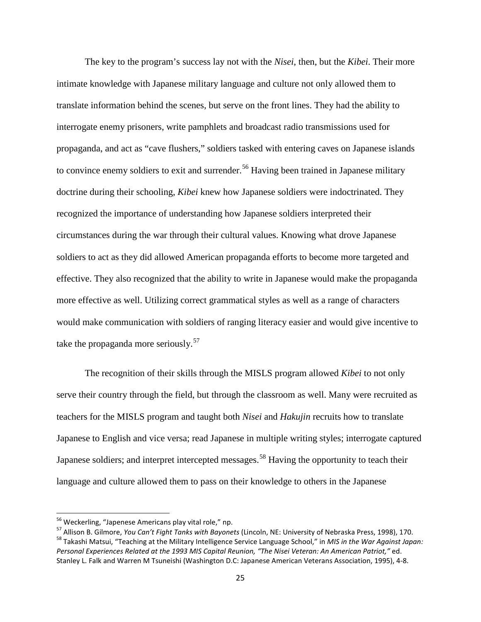The key to the program's success lay not with the *Nisei*, then, but the *Kibei*. Their more intimate knowledge with Japanese military language and culture not only allowed them to translate information behind the scenes, but serve on the front lines. They had the ability to interrogate enemy prisoners, write pamphlets and broadcast radio transmissions used for propaganda, and act as "cave flushers," soldiers tasked with entering caves on Japanese islands to convince enemy soldiers to exit and surrender.<sup>[56](#page-27-0)</sup> Having been trained in Japanese military doctrine during their schooling, *Kibei* knew how Japanese soldiers were indoctrinated. They recognized the importance of understanding how Japanese soldiers interpreted their circumstances during the war through their cultural values. Knowing what drove Japanese soldiers to act as they did allowed American propaganda efforts to become more targeted and effective. They also recognized that the ability to write in Japanese would make the propaganda more effective as well. Utilizing correct grammatical styles as well as a range of characters would make communication with soldiers of ranging literacy easier and would give incentive to take the propaganda more seriously.<sup>[57](#page-27-1)</sup>

The recognition of their skills through the MISLS program allowed *Kibei* to not only serve their country through the field, but through the classroom as well. Many were recruited as teachers for the MISLS program and taught both *Nisei* and *Hakujin* recruits how to translate Japanese to English and vice versa; read Japanese in multiple writing styles; interrogate captured Japanese soldiers; and interpret intercepted messages.<sup>[58](#page-27-2)</sup> Having the opportunity to teach their language and culture allowed them to pass on their knowledge to others in the Japanese

<span id="page-27-2"></span><span id="page-27-1"></span><span id="page-27-0"></span><sup>&</sup>lt;sup>56</sup> Weckerling, "Japenese Americans play vital role," np.<br><sup>57</sup> Allison B. Gilmore, *You Can't Fight Tanks with Bayonets* (Lincoln, NE: University of Nebraska Press, 1998), 170.<br><sup>58</sup> Takashi Matsui, "Teaching at the Milita *Personal Experiences Related at the 1993 MIS Capital Reunion, "The Nisei Veteran: An American Patriot,"* ed. Stanley L. Falk and Warren M Tsuneishi (Washington D.C: Japanese American Veterans Association, 1995), 4-8.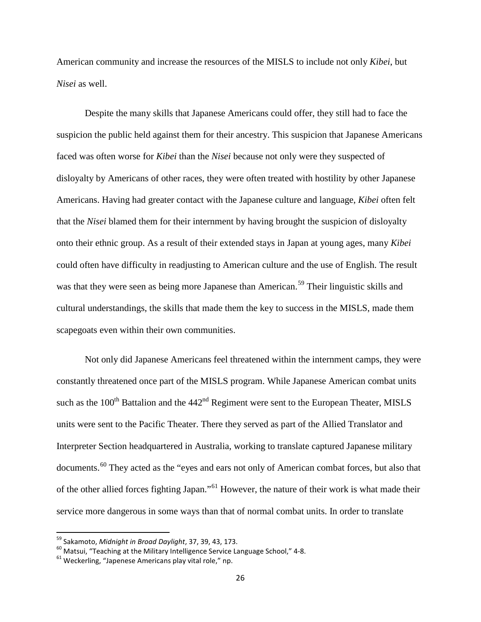American community and increase the resources of the MISLS to include not only *Kibei*, but *Nisei* as well.

Despite the many skills that Japanese Americans could offer, they still had to face the suspicion the public held against them for their ancestry. This suspicion that Japanese Americans faced was often worse for *Kibei* than the *Nisei* because not only were they suspected of disloyalty by Americans of other races, they were often treated with hostility by other Japanese Americans. Having had greater contact with the Japanese culture and language, *Kibei* often felt that the *Nisei* blamed them for their internment by having brought the suspicion of disloyalty onto their ethnic group. As a result of their extended stays in Japan at young ages, many *Kibei*  could often have difficulty in readjusting to American culture and the use of English. The result was that they were seen as being more Japanese than American.<sup>[59](#page-28-0)</sup> Their linguistic skills and cultural understandings, the skills that made them the key to success in the MISLS, made them scapegoats even within their own communities.

Not only did Japanese Americans feel threatened within the internment camps, they were constantly threatened once part of the MISLS program. While Japanese American combat units such as the  $100<sup>th</sup>$  Battalion and the  $442<sup>nd</sup>$  Regiment were sent to the European Theater, MISLS units were sent to the Pacific Theater. There they served as part of the Allied Translator and Interpreter Section headquartered in Australia, working to translate captured Japanese military documents.<sup>[60](#page-28-1)</sup> They acted as the "eyes and ears not only of American combat forces, but also that of the other allied forces fighting Japan."[61](#page-28-2) However, the nature of their work is what made their service more dangerous in some ways than that of normal combat units. In order to translate

<span id="page-28-1"></span><span id="page-28-0"></span><sup>&</sup>lt;sup>59</sup> Sakamoto, *Midnight in Broad Daylight*, 37, 39, 43, 173.<br><sup>60</sup> Matsui, "Teaching at the Military Intelligence Service Language School," 4-8.<br><sup>61</sup> Weckerling, "Japenese Americans play vital role," np.

<span id="page-28-2"></span>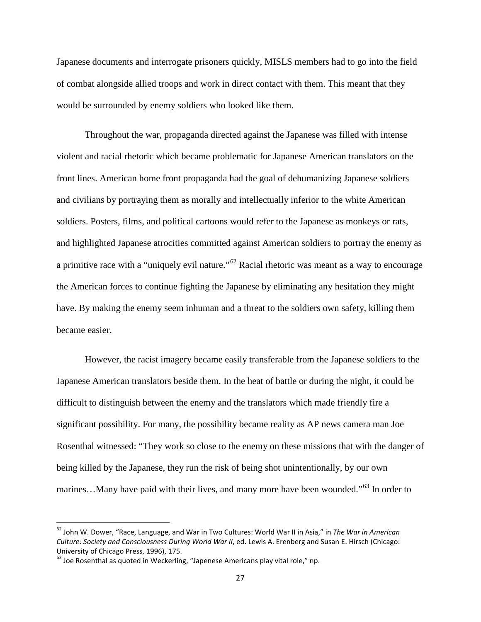Japanese documents and interrogate prisoners quickly, MISLS members had to go into the field of combat alongside allied troops and work in direct contact with them. This meant that they would be surrounded by enemy soldiers who looked like them.

Throughout the war, propaganda directed against the Japanese was filled with intense violent and racial rhetoric which became problematic for Japanese American translators on the front lines. American home front propaganda had the goal of dehumanizing Japanese soldiers and civilians by portraying them as morally and intellectually inferior to the white American soldiers. Posters, films, and political cartoons would refer to the Japanese as monkeys or rats, and highlighted Japanese atrocities committed against American soldiers to portray the enemy as a primitive race with a "uniquely evil nature."<sup>[62](#page-29-0)</sup> Racial rhetoric was meant as a way to encourage the American forces to continue fighting the Japanese by eliminating any hesitation they might have. By making the enemy seem inhuman and a threat to the soldiers own safety, killing them became easier.

However, the racist imagery became easily transferable from the Japanese soldiers to the Japanese American translators beside them. In the heat of battle or during the night, it could be difficult to distinguish between the enemy and the translators which made friendly fire a significant possibility. For many, the possibility became reality as AP news camera man Joe Rosenthal witnessed: "They work so close to the enemy on these missions that with the danger of being killed by the Japanese, they run the risk of being shot unintentionally, by our own marines...Many have paid with their lives, and many more have been wounded."<sup>[63](#page-29-1)</sup> In order to

<span id="page-29-0"></span> <sup>62</sup> John W. Dower, "Race, Language, and War in Two Cultures: World War II in Asia," in *The War in American Culture: Society and Consciousness During World War II*, ed. Lewis A. Erenberg and Susan E. Hirsch (Chicago: University of Chicago Press, 1996), 175.

<span id="page-29-1"></span> $63$  Joe Rosenthal as quoted in Weckerling, "Japenese Americans play vital role," np.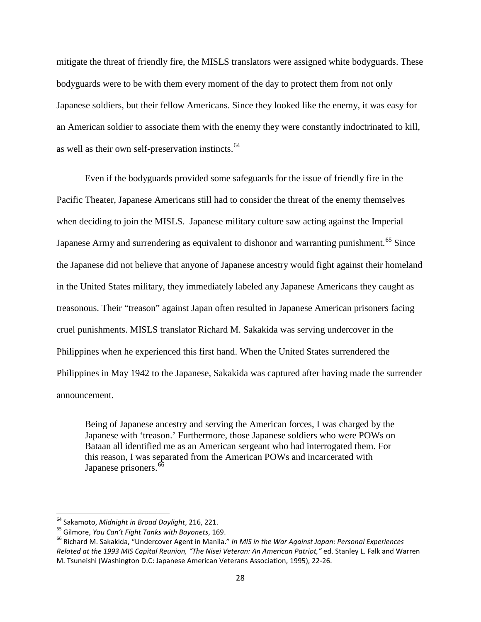mitigate the threat of friendly fire, the MISLS translators were assigned white bodyguards. These bodyguards were to be with them every moment of the day to protect them from not only Japanese soldiers, but their fellow Americans. Since they looked like the enemy, it was easy for an American soldier to associate them with the enemy they were constantly indoctrinated to kill, as well as their own self-preservation instincts.<sup>[64](#page-30-0)</sup>

Even if the bodyguards provided some safeguards for the issue of friendly fire in the Pacific Theater, Japanese Americans still had to consider the threat of the enemy themselves when deciding to join the MISLS. Japanese military culture saw acting against the Imperial Japanese Army and surrendering as equivalent to dishonor and warranting punishment.<sup>[65](#page-30-1)</sup> Since the Japanese did not believe that anyone of Japanese ancestry would fight against their homeland in the United States military, they immediately labeled any Japanese Americans they caught as treasonous. Their "treason" against Japan often resulted in Japanese American prisoners facing cruel punishments. MISLS translator Richard M. Sakakida was serving undercover in the Philippines when he experienced this first hand. When the United States surrendered the Philippines in May 1942 to the Japanese, Sakakida was captured after having made the surrender announcement.

Being of Japanese ancestry and serving the American forces, I was charged by the Japanese with 'treason.' Furthermore, those Japanese soldiers who were POWs on Bataan all identified me as an American sergeant who had interrogated them. For this reason, I was separated from the American POWs and incarcerated with Japanese prisoners.<sup>[66](#page-30-2)</sup>

<span id="page-30-2"></span>

<span id="page-30-1"></span><span id="page-30-0"></span><sup>&</sup>lt;sup>64</sup> Sakamoto, Midnight in Broad Daylight, 216, 221.<br><sup>65</sup> Gilmore, You Can't Fight Tanks with Bayonets, 169.<br><sup>66</sup> Richard M. Sakakida, "Undercover Agent in Manila." *In MIS in the War Against Japan: Personal Experiences Related at the 1993 MIS Capital Reunion, "The Nisei Veteran: An American Patriot,"* ed. Stanley L. Falk and Warren M. Tsuneishi (Washington D.C: Japanese American Veterans Association, 1995), 22-26.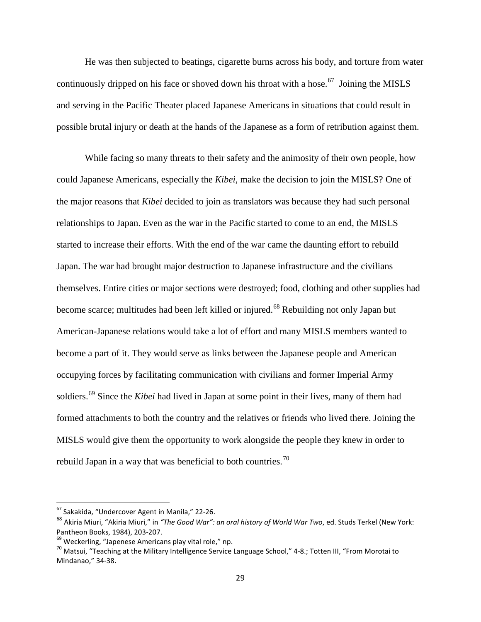He was then subjected to beatings, cigarette burns across his body, and torture from water continuously dripped on his face or shoved down his throat with a hose.<sup>[67](#page-31-0)</sup> Joining the MISLS and serving in the Pacific Theater placed Japanese Americans in situations that could result in possible brutal injury or death at the hands of the Japanese as a form of retribution against them.

While facing so many threats to their safety and the animosity of their own people, how could Japanese Americans, especially the *Kibei*, make the decision to join the MISLS? One of the major reasons that *Kibei* decided to join as translators was because they had such personal relationships to Japan. Even as the war in the Pacific started to come to an end, the MISLS started to increase their efforts. With the end of the war came the daunting effort to rebuild Japan. The war had brought major destruction to Japanese infrastructure and the civilians themselves. Entire cities or major sections were destroyed; food, clothing and other supplies had become scarce; multitudes had been left killed or injured.<sup>[68](#page-31-1)</sup> Rebuilding not only Japan but American-Japanese relations would take a lot of effort and many MISLS members wanted to become a part of it. They would serve as links between the Japanese people and American occupying forces by facilitating communication with civilians and former Imperial Army soldiers.[69](#page-31-2) Since the *Kibei* had lived in Japan at some point in their lives, many of them had formed attachments to both the country and the relatives or friends who lived there. Joining the MISLS would give them the opportunity to work alongside the people they knew in order to rebuild Japan in a way that was beneficial to both countries.<sup>[70](#page-31-3)</sup>

<span id="page-31-0"></span> <sup>67</sup> Sakakida, "Undercover Agent in Manila," 22-26.

<span id="page-31-1"></span><sup>68</sup> Akiria Miuri, "Akiria Miuri," in *"The Good War": an oral history of World War Two*, ed. Studs Terkel (New York: Pantheon Books, 1984), 203-207.<br><sup>69</sup> Weckerling, "Japenese Americans play vital role," np.<br><sup>70</sup> Matsui, "Teaching at the Military Intelligence Service Language School," 4-8.; Totten III, "From Morotai to

<span id="page-31-2"></span>

<span id="page-31-3"></span>Mindanao," 34-38.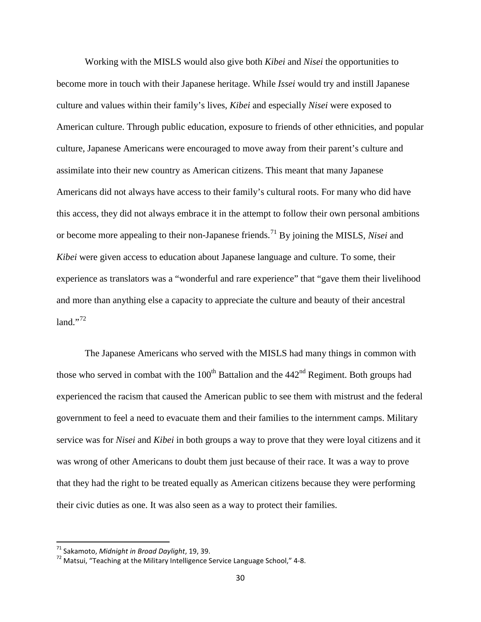Working with the MISLS would also give both *Kibei* and *Nisei* the opportunities to become more in touch with their Japanese heritage. While *Issei* would try and instill Japanese culture and values within their family's lives, *Kibei* and especially *Nisei* were exposed to American culture. Through public education, exposure to friends of other ethnicities, and popular culture, Japanese Americans were encouraged to move away from their parent's culture and assimilate into their new country as American citizens. This meant that many Japanese Americans did not always have access to their family's cultural roots. For many who did have this access, they did not always embrace it in the attempt to follow their own personal ambitions or become more appealing to their non-Japanese friends.[71](#page-32-0) By joining the MISLS, *Nisei* and *Kibei* were given access to education about Japanese language and culture. To some, their experience as translators was a "wonderful and rare experience" that "gave them their livelihood and more than anything else a capacity to appreciate the culture and beauty of their ancestral  $land."72$  $land."72$ 

The Japanese Americans who served with the MISLS had many things in common with those who served in combat with the  $100<sup>th</sup>$  Battalion and the  $442<sup>nd</sup>$  Regiment. Both groups had experienced the racism that caused the American public to see them with mistrust and the federal government to feel a need to evacuate them and their families to the internment camps. Military service was for *Nisei* and *Kibei* in both groups a way to prove that they were loyal citizens and it was wrong of other Americans to doubt them just because of their race. It was a way to prove that they had the right to be treated equally as American citizens because they were performing their civic duties as one. It was also seen as a way to protect their families.

<span id="page-32-1"></span><span id="page-32-0"></span><sup>&</sup>lt;sup>71</sup> Sakamoto, *Midnight in Broad Daylight*, 19, 39.<br><sup>72</sup> Matsui, "Teaching at the Military Intelligence Service Language School," 4-8.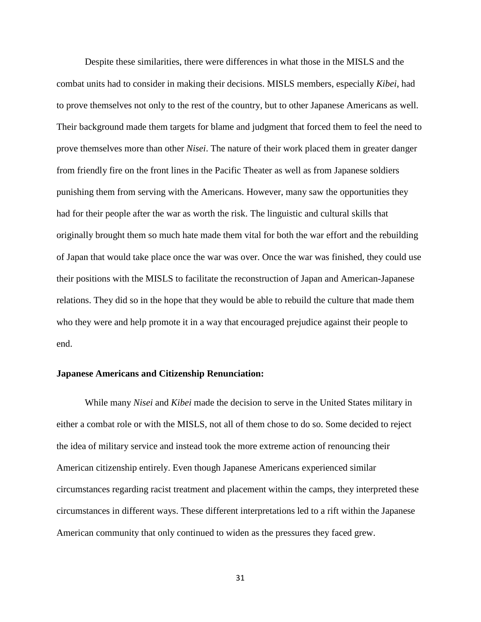Despite these similarities, there were differences in what those in the MISLS and the combat units had to consider in making their decisions. MISLS members, especially *Kibei*, had to prove themselves not only to the rest of the country, but to other Japanese Americans as well. Their background made them targets for blame and judgment that forced them to feel the need to prove themselves more than other *Nisei*. The nature of their work placed them in greater danger from friendly fire on the front lines in the Pacific Theater as well as from Japanese soldiers punishing them from serving with the Americans. However, many saw the opportunities they had for their people after the war as worth the risk. The linguistic and cultural skills that originally brought them so much hate made them vital for both the war effort and the rebuilding of Japan that would take place once the war was over. Once the war was finished, they could use their positions with the MISLS to facilitate the reconstruction of Japan and American-Japanese relations. They did so in the hope that they would be able to rebuild the culture that made them who they were and help promote it in a way that encouraged prejudice against their people to end.

#### **Japanese Americans and Citizenship Renunciation:**

While many *Nisei* and *Kibei* made the decision to serve in the United States military in either a combat role or with the MISLS, not all of them chose to do so. Some decided to reject the idea of military service and instead took the more extreme action of renouncing their American citizenship entirely. Even though Japanese Americans experienced similar circumstances regarding racist treatment and placement within the camps, they interpreted these circumstances in different ways. These different interpretations led to a rift within the Japanese American community that only continued to widen as the pressures they faced grew.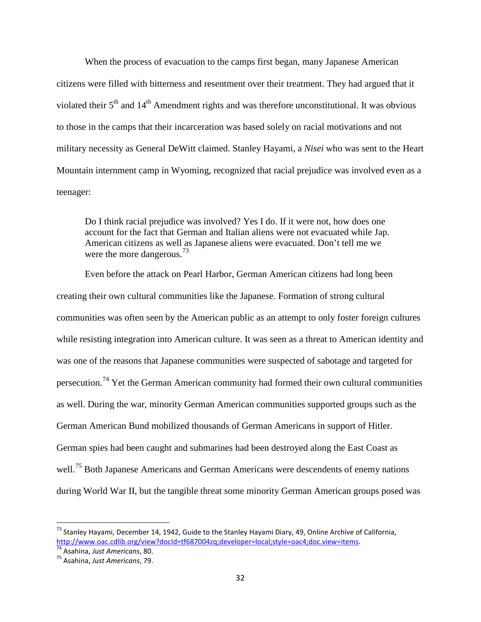When the process of evacuation to the camps first began, many Japanese American citizens were filled with bitterness and resentment over their treatment. They had argued that it violated their  $5<sup>th</sup>$  and  $14<sup>th</sup>$  Amendment rights and was therefore unconstitutional. It was obvious to those in the camps that their incarceration was based solely on racial motivations and not military necessity as General DeWitt claimed. Stanley Hayami, a *Nisei* who was sent to the Heart Mountain internment camp in Wyoming, recognized that racial prejudice was involved even as a teenager:

Do I think racial prejudice was involved? Yes I do. If it were not, how does one account for the fact that German and Italian aliens were not evacuated while Jap. American citizens as well as Japanese aliens were evacuated. Don't tell me we were the more dangerous.<sup>[73](#page-34-0)</sup>

Even before the attack on Pearl Harbor, German American citizens had long been creating their own cultural communities like the Japanese. Formation of strong cultural communities was often seen by the American public as an attempt to only foster foreign cultures while resisting integration into American culture. It was seen as a threat to American identity and was one of the reasons that Japanese communities were suspected of sabotage and targeted for persecution.<sup>[74](#page-34-1)</sup> Yet the German American community had formed their own cultural communities as well. During the war, minority German American communities supported groups such as the German American Bund mobilized thousands of German Americans in support of Hitler. German spies had been caught and submarines had been destroyed along the East Coast as well.<sup>[75](#page-34-2)</sup> Both Japanese Americans and German Americans were descendents of enemy nations during World War II, but the tangible threat some minority German American groups posed was

<span id="page-34-0"></span> $^{73}$  Stanley Hayami, December 14, 1942, Guide to the Stanley Hayami Diary, 49, Online Archive of California, [http://www.oac.cdlib.org/view?docId=tf687004zq;developer=local;style=oac4;doc.view=items.](http://www.oac.cdlib.org/view?docId=tf687004zq;developer=local;style=oac4;doc.view=items)<br><sup>74</sup> Asahina, Just Americans, 80.<br><sup>75</sup> Asahina. Just Americans. 79.

<span id="page-34-1"></span>

<span id="page-34-2"></span>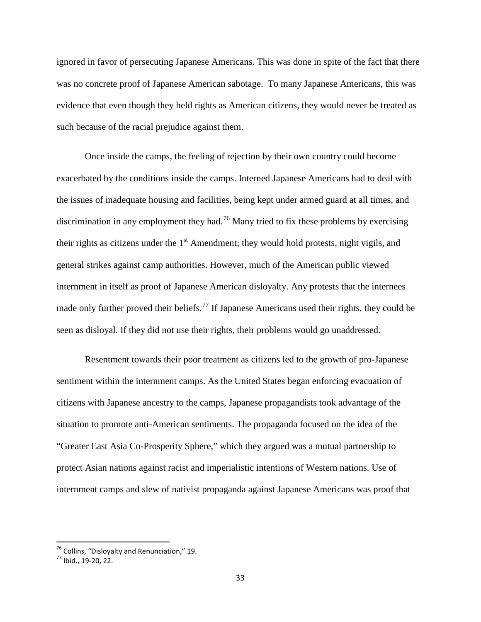ignored in favor of persecuting Japanese Americans. This was done in spite of the fact that there was no concrete proof of Japanese American sabotage. To many Japanese Americans, this was evidence that even though they held rights as American citizens, they would never be treated as such because of the racial prejudice against them.

Once inside the camps, the feeling of rejection by their own country could become exacerbated by the conditions inside the camps. Interned Japanese Americans had to deal with the issues of inadequate housing and facilities, being kept under armed guard at all times, and discrimination in any employment they had.<sup>[76](#page-35-0)</sup> Many tried to fix these problems by exercising their rights as citizens under the  $1<sup>st</sup>$  Amendment; they would hold protests, night vigils, and general strikes against camp authorities. However, much of the American public viewed internment in itself as proof of Japanese American disloyalty. Any protests that the internees made only further proved their beliefs.<sup>[77](#page-35-1)</sup> If Japanese Americans used their rights, they could be seen as disloyal. If they did not use their rights, their problems would go unaddressed.

Resentment towards their poor treatment as citizens led to the growth of pro-Japanese sentiment within the internment camps. As the United States began enforcing evacuation of citizens with Japanese ancestry to the camps, Japanese propagandists took advantage of the situation to promote anti-American sentiments. The propaganda focused on the idea of the "Greater East Asia Co-Prosperity Sphere," which they argued was a mutual partnership to protect Asian nations against racist and imperialistic intentions of Western nations. Use of internment camps and slew of nativist propaganda against Japanese Americans was proof that

<span id="page-35-0"></span> $^{76}$  Collins, "Disloyalty and Renunciation," 19.<br> $^{77}$  Ibid., 19-20, 22.

<span id="page-35-1"></span>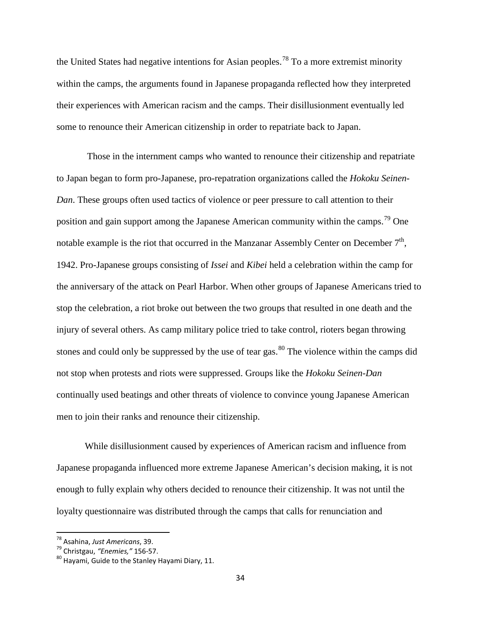the United States had negative intentions for Asian peoples.<sup>[78](#page-36-0)</sup> To a more extremist minority within the camps, the arguments found in Japanese propaganda reflected how they interpreted their experiences with American racism and the camps. Their disillusionment eventually led some to renounce their American citizenship in order to repatriate back to Japan.

Those in the internment camps who wanted to renounce their citizenship and repatriate to Japan began to form pro-Japanese, pro-repatration organizations called the *Hokoku Seinen-Dan*. These groups often used tactics of violence or peer pressure to call attention to their position and gain support among the Japanese American community within the camps.<sup>[79](#page-36-1)</sup> One notable example is the riot that occurred in the Manzanar Assembly Center on December  $7<sup>th</sup>$ , 1942. Pro-Japanese groups consisting of *Issei* and *Kibei* held a celebration within the camp for the anniversary of the attack on Pearl Harbor. When other groups of Japanese Americans tried to stop the celebration, a riot broke out between the two groups that resulted in one death and the injury of several others. As camp military police tried to take control, rioters began throwing stones and could only be suppressed by the use of tear gas. $80$  The violence within the camps did not stop when protests and riots were suppressed. Groups like the *Hokoku Seinen-Dan*  continually used beatings and other threats of violence to convince young Japanese American men to join their ranks and renounce their citizenship.

While disillusionment caused by experiences of American racism and influence from Japanese propaganda influenced more extreme Japanese American's decision making, it is not enough to fully explain why others decided to renounce their citizenship. It was not until the loyalty questionnaire was distributed through the camps that calls for renunciation and

<span id="page-36-2"></span>

<span id="page-36-1"></span><span id="page-36-0"></span><sup>&</sup>lt;sup>78</sup> Asahina, *Just Americans*, 39.<br><sup>79</sup> Christgau, *"Enemies,"* 156-57.<br><sup>80</sup> Havami, Guide to the Stanley Hayami Diary, 11.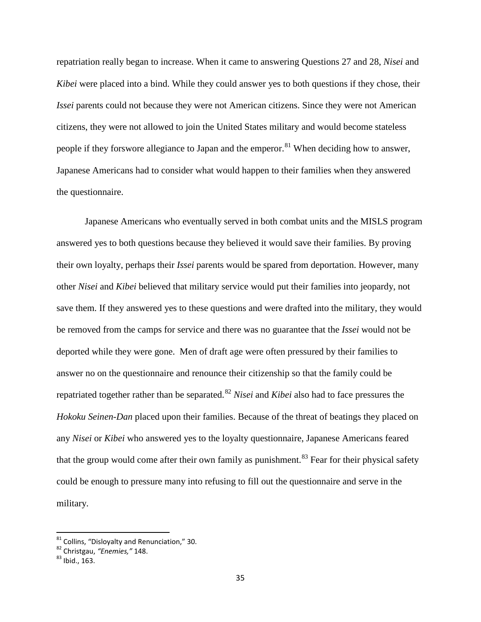repatriation really began to increase. When it came to answering Questions 27 and 28, *Nisei* and *Kibei* were placed into a bind. While they could answer yes to both questions if they chose, their *Issei* parents could not because they were not American citizens. Since they were not American citizens, they were not allowed to join the United States military and would become stateless people if they forswore allegiance to Japan and the emperor.<sup>[81](#page-37-0)</sup> When deciding how to answer, Japanese Americans had to consider what would happen to their families when they answered the questionnaire.

Japanese Americans who eventually served in both combat units and the MISLS program answered yes to both questions because they believed it would save their families. By proving their own loyalty, perhaps their *Issei* parents would be spared from deportation. However, many other *Nisei* and *Kibei* believed that military service would put their families into jeopardy, not save them. If they answered yes to these questions and were drafted into the military, they would be removed from the camps for service and there was no guarantee that the *Issei* would not be deported while they were gone. Men of draft age were often pressured by their families to answer no on the questionnaire and renounce their citizenship so that the family could be repatriated together rather than be separated. [82](#page-37-1) *Nisei* and *Kibei* also had to face pressures the *Hokoku Seinen-Dan* placed upon their families. Because of the threat of beatings they placed on any *Nisei* or *Kibei* who answered yes to the loyalty questionnaire, Japanese Americans feared that the group would come after their own family as punishment.<sup>[83](#page-37-2)</sup> Fear for their physical safety could be enough to pressure many into refusing to fill out the questionnaire and serve in the military.

<span id="page-37-0"></span><sup>&</sup>lt;sup>81</sup> Collins, "Disloyalty and Renunciation," 30.<br><sup>82</sup> Christgau, "*Enemies,*" 148.<br><sup>83</sup> Ibid., 163.

<span id="page-37-1"></span>

<span id="page-37-2"></span>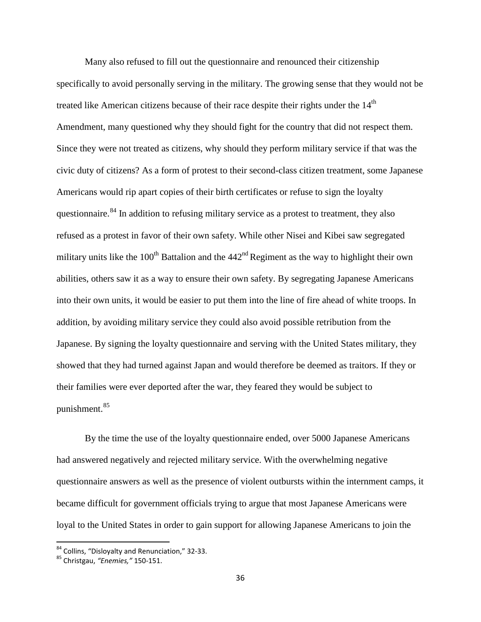Many also refused to fill out the questionnaire and renounced their citizenship specifically to avoid personally serving in the military. The growing sense that they would not be treated like American citizens because of their race despite their rights under the  $14<sup>th</sup>$ Amendment, many questioned why they should fight for the country that did not respect them. Since they were not treated as citizens, why should they perform military service if that was the civic duty of citizens? As a form of protest to their second-class citizen treatment, some Japanese Americans would rip apart copies of their birth certificates or refuse to sign the loyalty questionnaire.<sup>[84](#page-38-0)</sup> In addition to refusing military service as a protest to treatment, they also refused as a protest in favor of their own safety. While other Nisei and Kibei saw segregated military units like the  $100<sup>th</sup>$  Battalion and the  $442<sup>nd</sup>$  Regiment as the way to highlight their own abilities, others saw it as a way to ensure their own safety. By segregating Japanese Americans into their own units, it would be easier to put them into the line of fire ahead of white troops. In addition, by avoiding military service they could also avoid possible retribution from the Japanese. By signing the loyalty questionnaire and serving with the United States military, they showed that they had turned against Japan and would therefore be deemed as traitors. If they or their families were ever deported after the war, they feared they would be subject to punishment.[85](#page-38-1)

By the time the use of the loyalty questionnaire ended, over 5000 Japanese Americans had answered negatively and rejected military service. With the overwhelming negative questionnaire answers as well as the presence of violent outbursts within the internment camps, it became difficult for government officials trying to argue that most Japanese Americans were loyal to the United States in order to gain support for allowing Japanese Americans to join the

<span id="page-38-0"></span><sup>84</sup> Collins, "Disloyalty and Renunciation," 32-33. <sup>85</sup> Christgau, *"Enemies,"* 150-151.

<span id="page-38-1"></span>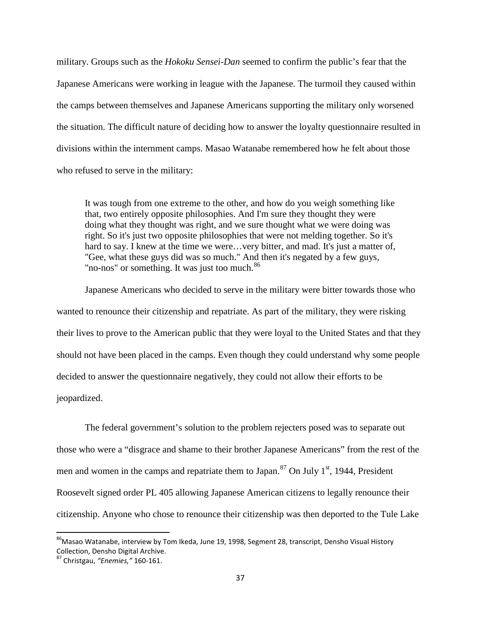military. Groups such as the *Hokoku Sensei-Dan* seemed to confirm the public's fear that the Japanese Americans were working in league with the Japanese. The turmoil they caused within the camps between themselves and Japanese Americans supporting the military only worsened the situation. The difficult nature of deciding how to answer the loyalty questionnaire resulted in divisions within the internment camps. Masao Watanabe remembered how he felt about those who refused to serve in the military:

It was tough from one extreme to the other, and how do you weigh something like that, two entirely opposite philosophies. And I'm sure they thought they were doing what they thought was right, and we sure thought what we were doing was right. So it's just two opposite philosophies that were not melding together. So it's hard to say. I knew at the time we were...very bitter, and mad. It's just a matter of, "Gee, what these guys did was so much." And then it's negated by a few guys, "no-nos" or something. It was just too much.<sup>[86](#page-39-0)</sup>

Japanese Americans who decided to serve in the military were bitter towards those who wanted to renounce their citizenship and repatriate. As part of the military, they were risking their lives to prove to the American public that they were loyal to the United States and that they should not have been placed in the camps. Even though they could understand why some people decided to answer the questionnaire negatively, they could not allow their efforts to be jeopardized.

The federal government's solution to the problem rejecters posed was to separate out those who were a "disgrace and shame to their brother Japanese Americans" from the rest of the men and women in the camps and repatriate them to Japan.<sup>[87](#page-39-1)</sup> On July  $1<sup>st</sup>$ , 1944, President Roosevelt signed order PL 405 allowing Japanese American citizens to legally renounce their citizenship. Anyone who chose to renounce their citizenship was then deported to the Tule Lake

<span id="page-39-0"></span><sup>&</sup>lt;sup>86</sup>Masao Watanabe, interview by Tom Ikeda, June 19, 1998, Segment 28, transcript, Densho Visual History Collection, Densho Digital Archive.

<span id="page-39-1"></span><sup>87</sup> Christgau, *"Enemies,"* 160-161.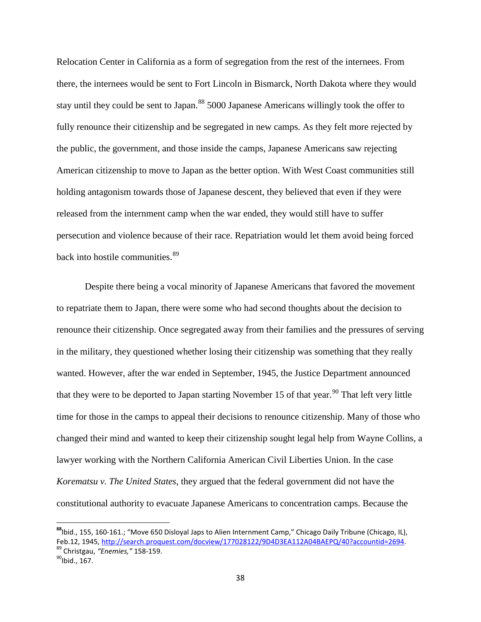Relocation Center in California as a form of segregation from the rest of the internees. From there, the internees would be sent to Fort Lincoln in Bismarck, North Dakota where they would stay until they could be sent to Japan.<sup>[88](#page-40-0)</sup> 5000 Japanese Americans willingly took the offer to fully renounce their citizenship and be segregated in new camps. As they felt more rejected by the public, the government, and those inside the camps, Japanese Americans saw rejecting American citizenship to move to Japan as the better option. With West Coast communities still holding antagonism towards those of Japanese descent, they believed that even if they were released from the internment camp when the war ended, they would still have to suffer persecution and violence because of their race. Repatriation would let them avoid being forced back into hostile communities.<sup>[89](#page-40-1)</sup>

Despite there being a vocal minority of Japanese Americans that favored the movement to repatriate them to Japan, there were some who had second thoughts about the decision to renounce their citizenship. Once segregated away from their families and the pressures of serving in the military, they questioned whether losing their citizenship was something that they really wanted. However, after the war ended in September, 1945, the Justice Department announced that they were to be deported to Japan starting November 15 of that year.<sup>[90](#page-40-2)</sup> That left very little time for those in the camps to appeal their decisions to renounce citizenship. Many of those who changed their mind and wanted to keep their citizenship sought legal help from Wayne Collins, a lawyer working with the Northern California American Civil Liberties Union. In the case *Korematsu v. The United States*, they argued that the federal government did not have the constitutional authority to evacuate Japanese Americans to concentration camps. Because the

<span id="page-40-0"></span>**<sup>88</sup>**Ibid., 155, 160-161.; "Move 650 Disloyal Japs to Alien Internment Camp," Chicago Daily Tribune (Chicago, IL), Feb.12, 1945, <u>http://search.proquest.com/docview/177028122/9D4D3EA112A04BAEPQ/40?accountid=2694</u>.<br><sup>89</sup> Christgau, "*Enemies,*" 158-159.<br><sup>90</sup>Ibid., 167.

<span id="page-40-2"></span><span id="page-40-1"></span>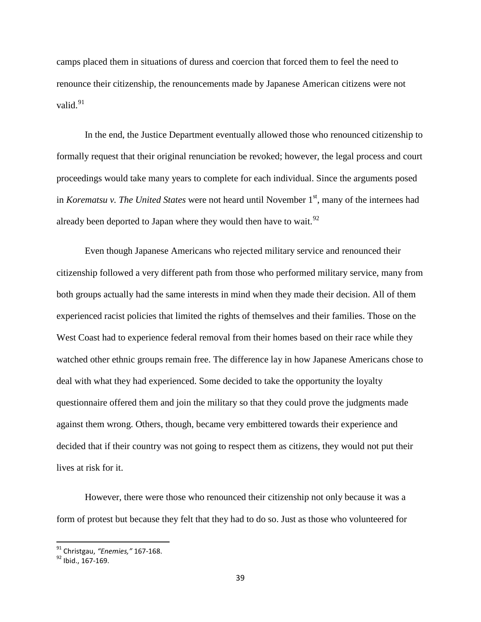camps placed them in situations of duress and coercion that forced them to feel the need to renounce their citizenship, the renouncements made by Japanese American citizens were not valid. $91$ 

In the end, the Justice Department eventually allowed those who renounced citizenship to formally request that their original renunciation be revoked; however, the legal process and court proceedings would take many years to complete for each individual. Since the arguments posed in *Korematsu v. The United States* were not heard until November 1<sup>st</sup>, many of the internees had already been deported to Japan where they would then have to wait.<sup>[92](#page-41-1)</sup>

Even though Japanese Americans who rejected military service and renounced their citizenship followed a very different path from those who performed military service, many from both groups actually had the same interests in mind when they made their decision. All of them experienced racist policies that limited the rights of themselves and their families. Those on the West Coast had to experience federal removal from their homes based on their race while they watched other ethnic groups remain free. The difference lay in how Japanese Americans chose to deal with what they had experienced. Some decided to take the opportunity the loyalty questionnaire offered them and join the military so that they could prove the judgments made against them wrong. Others, though, became very embittered towards their experience and decided that if their country was not going to respect them as citizens, they would not put their lives at risk for it.

However, there were those who renounced their citizenship not only because it was a form of protest but because they felt that they had to do so. Just as those who volunteered for

<span id="page-41-0"></span><sup>&</sup>lt;sup>91</sup> Christgau, "Enemies," 167-168.<br><sup>92</sup> Ibid., 167-169.

<span id="page-41-1"></span>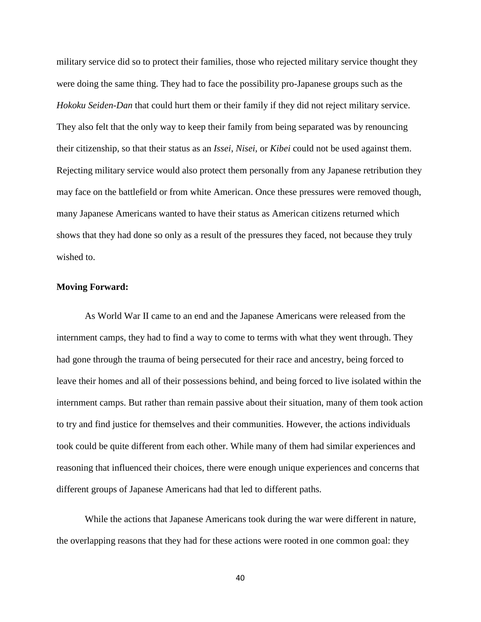military service did so to protect their families, those who rejected military service thought they were doing the same thing. They had to face the possibility pro-Japanese groups such as the *Hokoku Seiden-Dan* that could hurt them or their family if they did not reject military service. They also felt that the only way to keep their family from being separated was by renouncing their citizenship, so that their status as an *Issei*, *Nisei*, or *Kibei* could not be used against them. Rejecting military service would also protect them personally from any Japanese retribution they may face on the battlefield or from white American. Once these pressures were removed though, many Japanese Americans wanted to have their status as American citizens returned which shows that they had done so only as a result of the pressures they faced, not because they truly wished to.

## **Moving Forward:**

As World War II came to an end and the Japanese Americans were released from the internment camps, they had to find a way to come to terms with what they went through. They had gone through the trauma of being persecuted for their race and ancestry, being forced to leave their homes and all of their possessions behind, and being forced to live isolated within the internment camps. But rather than remain passive about their situation, many of them took action to try and find justice for themselves and their communities. However, the actions individuals took could be quite different from each other. While many of them had similar experiences and reasoning that influenced their choices, there were enough unique experiences and concerns that different groups of Japanese Americans had that led to different paths.

While the actions that Japanese Americans took during the war were different in nature, the overlapping reasons that they had for these actions were rooted in one common goal: they

40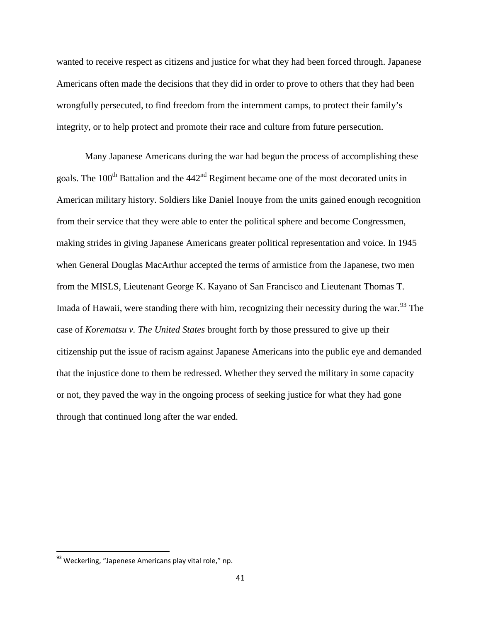wanted to receive respect as citizens and justice for what they had been forced through. Japanese Americans often made the decisions that they did in order to prove to others that they had been wrongfully persecuted, to find freedom from the internment camps, to protect their family's integrity, or to help protect and promote their race and culture from future persecution.

Many Japanese Americans during the war had begun the process of accomplishing these goals. The  $100<sup>th</sup>$  Battalion and the  $442<sup>nd</sup>$  Regiment became one of the most decorated units in American military history. Soldiers like Daniel Inouye from the units gained enough recognition from their service that they were able to enter the political sphere and become Congressmen, making strides in giving Japanese Americans greater political representation and voice. In 1945 when General Douglas MacArthur accepted the terms of armistice from the Japanese, two men from the MISLS, Lieutenant George K. Kayano of San Francisco and Lieutenant Thomas T. Imada of Hawaii, were standing there with him, recognizing their necessity during the war.<sup>[93](#page-43-0)</sup> The case of *Korematsu v. The United States* brought forth by those pressured to give up their citizenship put the issue of racism against Japanese Americans into the public eye and demanded that the injustice done to them be redressed. Whether they served the military in some capacity or not, they paved the way in the ongoing process of seeking justice for what they had gone through that continued long after the war ended.

<span id="page-43-0"></span><sup>93</sup> Weckerling, "Japenese Americans play vital role," np.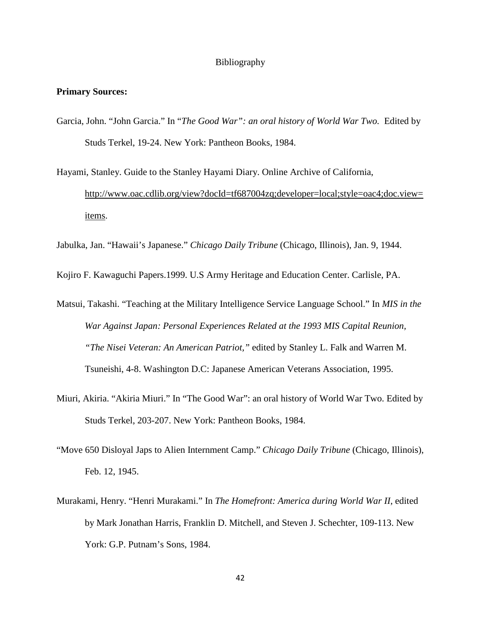## Bibliography

#### **Primary Sources:**

- Garcia, John. "John Garcia." In "*The Good War": an oral history of World War Two.* Edited by Studs Terkel, 19-24. New York: Pantheon Books, 1984.
- Hayami, Stanley. Guide to the Stanley Hayami Diary. Online Archive of California, [http://www.oac.cdlib.org/view?docId=tf687004zq;developer=local;style=oac4;doc.view=](http://www.oac.cdlib.org/view?docId=tf687004zq;developer=local;style=oac4;doc.view=items) [items.](http://www.oac.cdlib.org/view?docId=tf687004zq;developer=local;style=oac4;doc.view=items)

Jabulka, Jan. "Hawaii's Japanese." *Chicago Daily Tribune* (Chicago, Illinois), Jan. 9, 1944.

Kojiro F. Kawaguchi Papers.1999. U.S Army Heritage and Education Center. Carlisle, PA.

Matsui, Takashi. "Teaching at the Military Intelligence Service Language School." In *MIS in the War Against Japan: Personal Experiences Related at the 1993 MIS Capital Reunion, "The Nisei Veteran: An American Patriot,"* edited by Stanley L. Falk and Warren M. Tsuneishi, 4-8. Washington D.C: Japanese American Veterans Association, 1995.

- Miuri, Akiria. "Akiria Miuri." In "The Good War": an oral history of World War Two. Edited by Studs Terkel, 203-207. New York: Pantheon Books, 1984.
- "Move 650 Disloyal Japs to Alien Internment Camp." *Chicago Daily Tribune* (Chicago, Illinois), Feb. 12, 1945.
- Murakami, Henry. "Henri Murakami." In *The Homefront: America during World War II*, edited by Mark Jonathan Harris, Franklin D. Mitchell, and Steven J. Schechter, 109-113. New York: G.P. Putnam's Sons, 1984.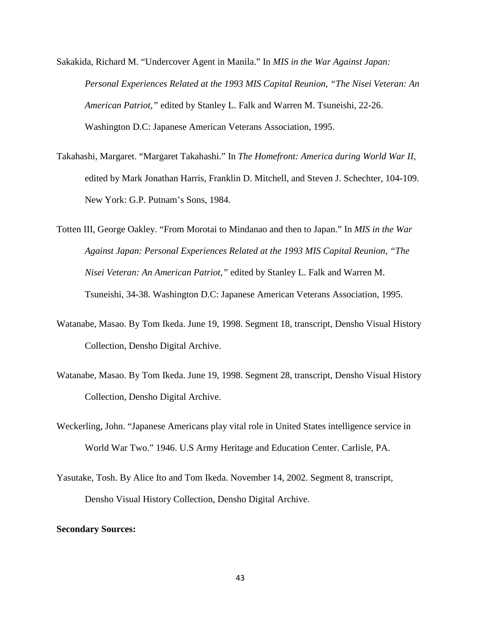Sakakida, Richard M. "Undercover Agent in Manila." In *MIS in the War Against Japan: Personal Experiences Related at the 1993 MIS Capital Reunion, "The Nisei Veteran: An American Patriot,"* edited by Stanley L. Falk and Warren M. Tsuneishi, 22-26. Washington D.C: Japanese American Veterans Association, 1995.

- Takahashi, Margaret. "Margaret Takahashi." In *The Homefront: America during World War II*, edited by Mark Jonathan Harris, Franklin D. Mitchell, and Steven J. Schechter, 104-109. New York: G.P. Putnam's Sons, 1984.
- Totten III, George Oakley. "From Morotai to Mindanao and then to Japan." In *MIS in the War Against Japan: Personal Experiences Related at the 1993 MIS Capital Reunion, "The Nisei Veteran: An American Patriot,"* edited by Stanley L. Falk and Warren M. Tsuneishi, 34-38. Washington D.C: Japanese American Veterans Association, 1995.
- Watanabe, Masao. By Tom Ikeda. June 19, 1998. Segment 18, transcript, Densho Visual History Collection, Densho Digital Archive.
- Watanabe, Masao. By Tom Ikeda. June 19, 1998. Segment 28, transcript, Densho Visual History Collection, Densho Digital Archive.
- Weckerling, John. "Japanese Americans play vital role in United States intelligence service in World War Two." 1946. U.S Army Heritage and Education Center. Carlisle, PA.
- Yasutake, Tosh. By Alice Ito and Tom Ikeda. November 14, 2002. Segment 8, transcript, Densho Visual History Collection, Densho Digital Archive.

## **Secondary Sources:**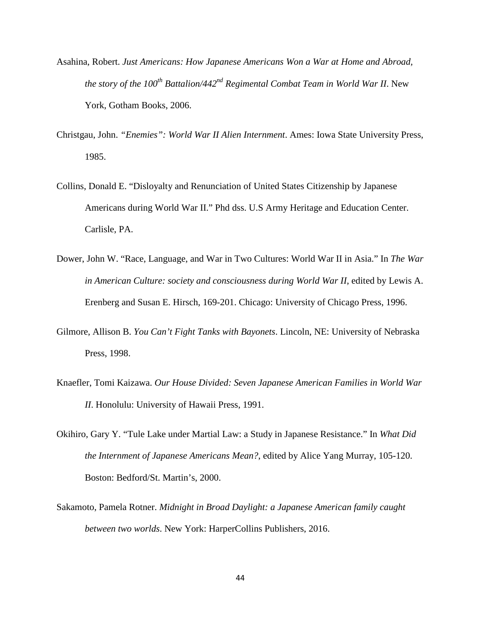- Asahina, Robert. *Just Americans: How Japanese Americans Won a War at Home and Abroad, the story of the 100<sup>th</sup> Battalion/442<sup>nd</sup> Regimental Combat Team in World War II. New* York, Gotham Books, 2006.
- Christgau, John. *"Enemies": World War II Alien Internment*. Ames: Iowa State University Press, 1985.
- Collins, Donald E. "Disloyalty and Renunciation of United States Citizenship by Japanese Americans during World War II." Phd dss. U.S Army Heritage and Education Center. Carlisle, PA.
- Dower, John W. "Race, Language, and War in Two Cultures: World War II in Asia." In *The War in American Culture: society and consciousness during World War II*, edited by Lewis A. Erenberg and Susan E. Hirsch, 169-201. Chicago: University of Chicago Press, 1996.
- Gilmore, Allison B. *You Can't Fight Tanks with Bayonets*. Lincoln, NE: University of Nebraska Press, 1998.
- Knaefler, Tomi Kaizawa. *Our House Divided: Seven Japanese American Families in World War II*. Honolulu: University of Hawaii Press, 1991.
- Okihiro, Gary Y. "Tule Lake under Martial Law: a Study in Japanese Resistance." In *What Did the Internment of Japanese Americans Mean?*, edited by Alice Yang Murray, 105-120. Boston: Bedford/St. Martin's, 2000.
- Sakamoto, Pamela Rotner. *Midnight in Broad Daylight: a Japanese American family caught between two worlds*. New York: HarperCollins Publishers, 2016.